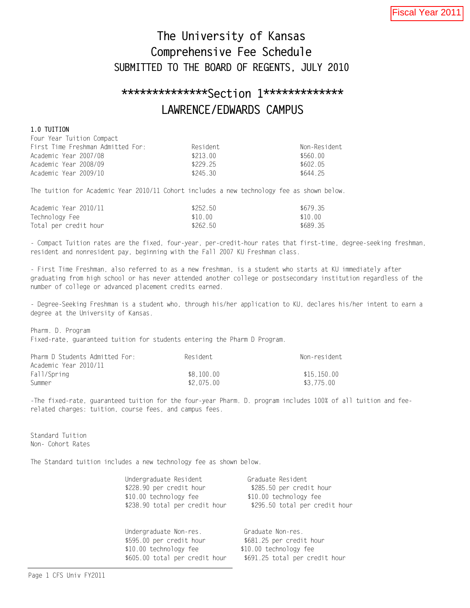# The University of Kansas Comprehensive Fee Schedule SUBMITTED TO THE BOARD OF REGENTS, JULY 2010

# \*\*\*\*\*\*\*\*\*\*\*\*\*\*Section 1\*\*\*\*\*\*\*\*\*\*\*\*\* LAWRENCE/EDWARDS CAMPUS

## 1.0 TUITION

| Four Year Tuition Compact         |          |              |
|-----------------------------------|----------|--------------|
| First Time Freshman Admitted For: | Resident | Non-Resident |
| Academic Year 2007/08             | \$213 00 | \$560.00     |
| Academic Year 2008/09             | \$229 25 | \$602 05     |
| Academic Year 2009/10             | \$245.30 | \$644 25     |

The tuition for Academic Year 2010/11 Cohort includes a new technology fee as shown below.

| Academic Year 2010/11 | \$252.50 | \$679.35 |
|-----------------------|----------|----------|
| Technology Fee        | \$10.00  | \$10.00  |
| Total per credit hour | \$262.50 | \$689.35 |

- Compact Tuition rates are the fixed, four-year, per-credit-hour rates that first-time, degree-seeking freshman, resident and nonresident pay, beginning with the Fall 2007 KU Freshman class.

- First Time Freshman, also referred to as a new freshman, is a student who starts at KU immediately after graduating from high school or has never attended another college or postsecondary institution regardless of the number of college or advanced placement credits earned.

- Degree-Seeking Freshman is a student who, through his/her application to KU, declares his/her intent to earn a degree at the University of Kansas.

Pharm. D. Program Fixed-rate, guaranteed tuition for students entering the Pharm D Program.

| Pharm D Students Admitted For: | Resident   | Non-resident |
|--------------------------------|------------|--------------|
| Academic Year 2010/11          |            |              |
| Fall/Spring                    | \$8.100.00 | \$15.150.00  |
| Summer                         | \$2.075.00 | \$3.775.00   |

-The fixed-rate, guaranteed tuition for the four-year Pharm. D. program includes 100% of all tuition and feerelated charges: tuition, course fees, and campus fees.

Standard Tuition Non- Cohort Rates

The Standard tuition includes a new technology fee as shown below.

| Undergraduate Resident<br>\$228.90 per credit hour<br>\$10.00 technology fee<br>\$238.90 total per credit hour                                                                                                                                                                                                                         | Graduate Resident<br>\$285.50 per credit hour<br>\$10.00 technology fee<br>\$295.50 total per credit hour |
|----------------------------------------------------------------------------------------------------------------------------------------------------------------------------------------------------------------------------------------------------------------------------------------------------------------------------------------|-----------------------------------------------------------------------------------------------------------|
| Undergraduate Non-res.<br>$+$ $\sqrt{2}$ $\sqrt{2}$ $\sqrt{2}$ $\sqrt{2}$ $\sqrt{2}$ $\sqrt{2}$ $\sqrt{2}$ $\sqrt{2}$ $\sqrt{2}$ $\sqrt{2}$ $\sqrt{2}$ $\sqrt{2}$ $\sqrt{2}$ $\sqrt{2}$ $\sqrt{2}$ $\sqrt{2}$ $\sqrt{2}$ $\sqrt{2}$ $\sqrt{2}$ $\sqrt{2}$ $\sqrt{2}$ $\sqrt{2}$ $\sqrt{2}$ $\sqrt{2}$ $\sqrt{2}$ $\sqrt{2}$ $\sqrt{2}$ | Graduate Non-res.                                                                                         |

\$595.00 per credit hour \$681.25 per credit hour \$10.00 technology fee \$10.00 technology fee \$605.00 total per credit hour \$691.25 total per credit hour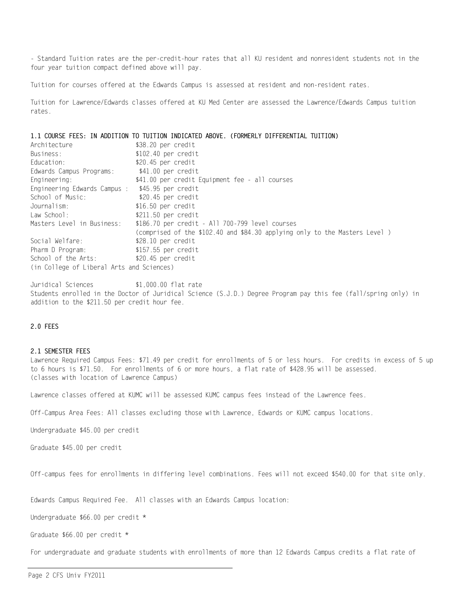- Standard Tuition rates are the per-credit-hour rates that all KU resident and nonresident students not in the four year tuition compact defined above will pay.

Tuition for courses offered at the Edwards Campus is assessed at resident and non-resident rates.

Tuition for Lawrence/Edwards classes offered at KU Med Center are assessed the Lawrence/Edwards Campus tuition rates.

1.1 COURSE FEES: IN ADDITION TO TUITION INDICATED ABOVE. (FORMERLY DIFFERENTIAL TUITION)

| Architecture                              | \$38.20 per credit                                                         |
|-------------------------------------------|----------------------------------------------------------------------------|
| Business:                                 | \$102.40 per credit                                                        |
| Education:                                | \$20.45 per credit                                                         |
| Edwards Campus Programs:                  | \$41.00 per credit                                                         |
| Engineering:                              | \$41.00 per credit Equipment fee - all courses                             |
| Engineering Edwards Campus :              | \$45.95 per credit                                                         |
| School of Music:                          | \$20.45 per credit                                                         |
| Journalism:                               | $$16.50$ per credit                                                        |
| $Law$ School:                             | $$211.50$ per credit                                                       |
| Masters Level in Business:                | \$186.70 per credit - All 700-799 level courses                            |
|                                           | (comprised of the \$102.40 and \$84.30 applying only to the Masters Level) |
| Social Welfare:                           | \$28.10 per credit                                                         |
| Pharm D Program:                          | \$157.55 per credit                                                        |
| School of the Arts:                       | \$20.45 per credit                                                         |
| (in College of Liberal Arts and Sciences) |                                                                            |

Juridical Sciences \$1,000.00 flat rate Students enrolled in the Doctor of Juridical Science (S.J.D.) Degree Program pay this fee (fall/spring only) in addition to the \$211.50 per credit hour fee.

## 2.0 FEES

## 2.1 SEMESTER FEES

Lawrence Required Campus Fees: \$71.49 per credit for enrollments of 5 or less hours. For credits in excess of 5 up to 6 hours is \$71.50. For enrollments of 6 or more hours, a flat rate of \$428.95 will be assessed. (classes with location of Lawrence Campus)

Lawrence classes offered at KUMC will be assessed KUMC campus fees instead of the Lawrence fees.

Off-Campus Area Fees: All classes excluding those with Lawrence, Edwards or KUMC campus locations.

Undergraduate \$45.00 per credit

Graduate \$45.00 per credit

Off-campus fees for enrollments in differing level combinations. Fees will not exceed \$540.00 for that site only.

Edwards Campus Required Fee. All classes with an Edwards Campus location:

Undergraduate \$66.00 per credit \*

Graduate \$66.00 per credit \*

For undergraduate and graduate students with enrollments of more than 12 Edwards Campus credits a flat rate of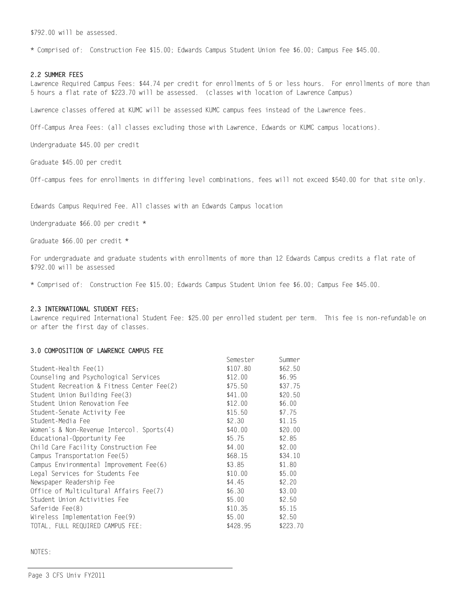\$792.00 will be assessed.

\* Comprised of: Construction Fee \$15.00; Edwards Campus Student Union fee \$6.00; Campus Fee \$45.00.

#### 2.2 SUMMER FEES

Lawrence Required Campus Fees: \$44.74 per credit for enrollments of 5 or less hours. For enrollments of more than 5 hours a flat rate of \$223.70 will be assessed. (classes with location of Lawrence Campus)

Lawrence classes offered at KUMC will be assessed KUMC campus fees instead of the Lawrence fees.

Off-Campus Area Fees: (all classes excluding those with Lawrence, Edwards or KUMC campus locations).

Undergraduate \$45.00 per credit

Graduate \$45.00 per credit

Off-campus fees for enrollments in differing level combinations, fees will not exceed \$540.00 for that site only.

Edwards Campus Required Fee. All classes with an Edwards Campus location

Undergraduate \$66.00 per credit \*

Graduate \$66.00 per credit \*

For undergraduate and graduate students with enrollments of more than 12 Edwards Campus credits a flat rate of \$792.00 will be assessed

\* Comprised of: Construction Fee \$15.00; Edwards Campus Student Union fee \$6.00; Campus Fee \$45.00.

#### 2.3 INTERNATIONAL STUDENT FEES:

Lawrence required International Student Fee: \$25.00 per enrolled student per term. This fee is non-refundable on or after the first day of classes.

## 3.0 COMPOSITION OF LAWRENCE CAMPUS FEE

|                                            | Semester | Summer   |
|--------------------------------------------|----------|----------|
| Student-Health Fee(1)                      | \$107.80 | \$62.50  |
| Counseling and Psychological Services      | \$12.00  | \$6.95   |
| Student Recreation & Fitness Center Fee(2) | \$75.50  | \$37.75  |
| Student Union Building Fee(3)              | \$41.00  | \$20.50  |
| Student Union Renovation Fee               | \$12.00  | \$6.00   |
| Student-Senate Activity Fee                | \$15.50  | \$7.75   |
| Student-Media Fee                          | \$2.30   | \$1.15   |
| Women's & Non-Revenue Intercol. Sports(4)  | \$40.00  | \$20.00  |
| Educational-Opportunity Fee                | \$5.75   | \$2.85   |
| Child Care Facility Construction Fee       | \$4.00   | \$2.00   |
| Campus Transportation Fee(5)               | \$68.15  | \$34.10  |
| Campus Environmental Improvement Fee(6)    | \$3.85   | \$1.80   |
| Legal Services for Students Fee            | \$10.00  | \$5.00   |
| Newspaper Readership Fee                   | \$4.45   | \$2.20   |
| Office of Multicultural Affairs Fee(7)     | \$6.30   | \$3.00   |
| Student Union Activities Fee               | \$5.00   | \$2.50   |
| Saferide Fee(8)                            | \$10.35  | \$5.15   |
| Wireless Implementation Fee(9)             | \$5.00   | \$2.50   |
| TOTAL, FULL REQUIRED CAMPUS FEE:           | \$428.95 | \$223.70 |

NOTES: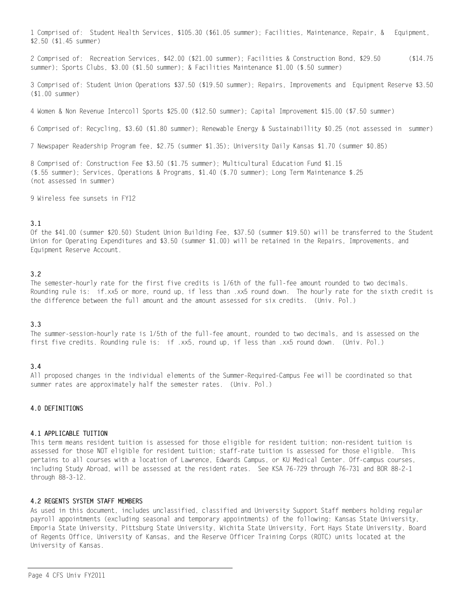1 Comprised of: Student Health Services, \$105.30 (\$61.05 summer); Facilities, Maintenance, Repair, & Equipment, \$2.50 (\$1.45 summer)

2 Comprised of: Recreation Services, \$42.00 (\$21.00 summer); Facilities & Construction Bond, \$29.50 (\$14.75 summer); Sports Clubs, \$3.00 (\$1.50 summer); & Facilities Maintenance \$1.00 (\$.50 summer)

3 Comprised of: Student Union Operations \$37.50 (\$19.50 summer); Repairs, Improvements and Equipment Reserve \$3.50 (\$1.00 summer)

4 Women & Non Revenue Intercoll Sports \$25.00 (\$12.50 summer); Capital Improvement \$15.00 (\$7.50 summer)

6 Comprised of: Recycling, \$3.60 (\$1.80 summer); Renewable Energy & Sustainabillity \$0.25 (not assessed in summer)

7 Newspaper Readership Program fee, \$2.75 (summer \$1.35); University Daily Kansas \$1.70 (summer \$0.85)

8 Comprised of: Construction Fee \$3.50 (\$1.75 summer); Multicultural Education Fund \$1.15 (\$.55 summer); Services, Operations & Programs, \$1.40 (\$.70 summer); Long Term Maintenance \$.25 (not assessed in summer)

9 Wireless fee sunsets in FY12

# 3.1

Of the \$41.00 (summer \$20.50) Student Union Building Fee, \$37.50 (summer \$19.50) will be transferred to the Student Union for Operating Expenditures and \$3.50 (summer \$1.00) will be retained in the Repairs, Improvements, and Equipment Reserve Account.

## 3.2

The semester-hourly rate for the first five credits is 1/6th of the full-fee amount rounded to two decimals. Rounding rule is: if.xx5 or more, round up, if less than .xx5 round down. The hourly rate for the sixth credit is the difference between the full amount and the amount assessed for six credits. (Univ. Pol.)

## 3.3

The summer-session-hourly rate is 1/5th of the full-fee amount, rounded to two decimals, and is assessed on the first five credits. Rounding rule is: if .xx5, round up, if less than .xx5 round down. (Univ. Pol.)

## 3.4

All proposed changes in the individual elements of the Summer-Required-Campus Fee will be coordinated so that summer rates are approximately half the semester rates. (Univ. Pol.)

#### 4.0 DEFINITIONS

#### 4.1 APPLICABLE TUITION

This term means resident tuition is assessed for those eligible for resident tuition; non-resident tuition is assessed for those NOT eligible for resident tuition; staff-rate tuition is assessed for those eligible. This pertains to all courses with a location of Lawrence, Edwards Campus, or KU Medical Center. Off-campus courses, including Study Abroad, will be assessed at the resident rates. See KSA 76-729 through 76-731 and BOR 88-2-1 through 88-3-12.

## 4.2 REGENTS SYSTEM STAFF MEMBERS

As used in this document, includes unclassified, classified and University Support Staff members holding regular payroll appointments (excluding seasonal and temporary appointments) of the following: Kansas State University, Emporia State University, Pittsburg State University, Wichita State University, Fort Hays State University, Board of Regents Office, University of Kansas, and the Reserve Officer Training Corps (ROTC) units located at the University of Kansas.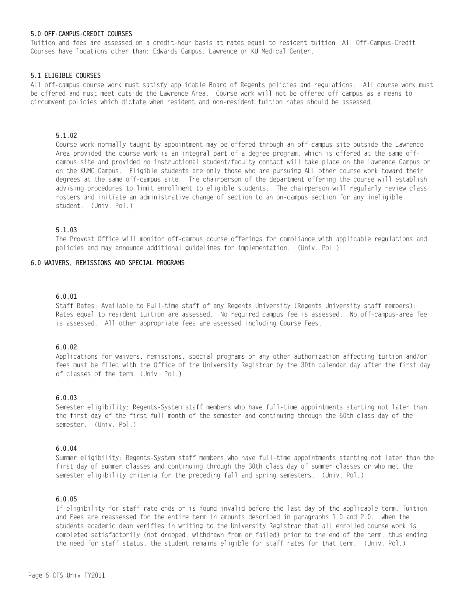# 5.0 OFF-CAMPUS-CREDIT COURSES

Tuition and fees are assessed on a credit-hour basis at rates equal to resident tuition. All Off-Campus-Credit Courses have locations other than: Edwards Campus, Lawrence or KU Medical Center.

# 5.1 ELIGIBLE COURSES

All off-campus course work must satisfy applicable Board of Regents policies and regulations. All course work must be offered and must meet outside the Lawrence Area. Course work will not be offered off campus as a means to circumvent policies which dictate when resident and non-resident tuition rates should be assessed.

## 5.1.02

Course work normally taught by appointment may be offered through an off-campus site outside the Lawrence Area provided the course work is an integral part of a degree program, which is offered at the same offcampus site and provided no instructional student/faculty contact will take place on the Lawrence Campus or on the KUMC Campus. Eligible students are only those who are pursuing ALL other course work toward their degrees at the same off-campus site. The chairperson of the department offering the course will establish advising procedures to limit enrollment to eligible students. The chairperson will regularly review class rosters and initiate an administrative change of section to an on-campus section for any ineligible student. (Univ. Pol.)

# 5.1.03

The Provost Office will monitor off-campus course offerings for compliance with applicable regulations and policies and may announce additional guidelines for implementation. (Univ. Pol.)

## 6.0 WAIVERS, REMISSIONS AND SPECIAL PROGRAMS

## 6.0.01

Staff Rates: Available to Full-time staff of any Regents University (Regents University staff members): Rates equal to resident tuition are assessed. No required campus fee is assessed. No off-campus-area fee is assessed. All other appropriate fees are assessed including Course Fees.

## 6.0.02

Applications for waivers, remissions, special programs or any other authorization affecting tuition and/or fees must be filed with the Office of the University Registrar by the 30th calendar day after the first day of classes of the term. (Univ. Pol.)

## 6.0.03

Semester eligibility: Regents-System staff members who have full-time appointments starting not later than the first day of the first full month of the semester and continuing through the 60th class day of the semester. (Univ. Pol.)

#### 6.0.04

Summer eligibility: Regents-System staff members who have full-time appointments starting not later than the first day of summer classes and continuing through the 30th class day of summer classes or who met the semester eligibility criteria for the preceding fall and spring semesters. (Univ. Pol.)

## 6.0.05

If eligibility for staff rate ends or is found invalid before the last day of the applicable term, Tuition and Fees are reassessed for the entire term in amounts described in paragraphs 1.0 and 2.0. When the students academic dean verifies in writing to the University Registrar that all enrolled course work is completed satisfactorily (not dropped, withdrawn from or failed) prior to the end of the term, thus ending the need for staff status, the student remains eligible for staff rates for that term. (Univ. Pol.)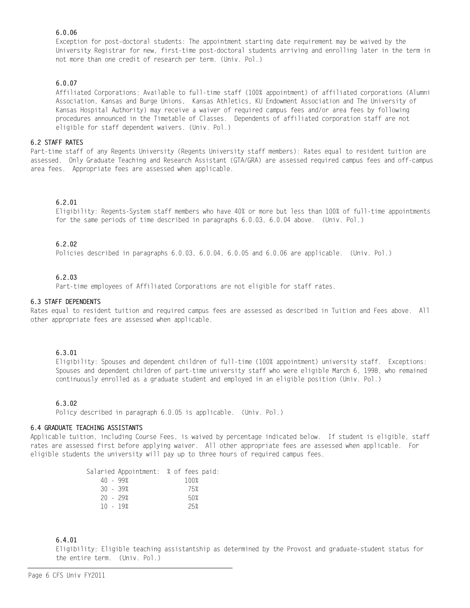# 6.0.06

Exception for post-doctoral students: The appointment starting date requirement may be waived by the University Registrar for new, first-time post-doctoral students arriving and enrolling later in the term in not more than one credit of research per term. (Univ. Pol.)

# 6.0.07

Affiliated Corporations: Available to full-time staff (100% appointment) of affiliated corporations (Alumni Association, Kansas and Burge Unions, Kansas Athletics, KU Endowment Association and The University of Kansas Hospital Authority) may receive a waiver of required campus fees and/or area fees by following procedures announced in the Timetable of Classes. Dependents of affiliated corporation staff are not eligible for staff dependent waivers. (Univ. Pol.)

# 6.2 STAFF RATES

Part-time staff of any Regents University (Regents University staff members): Rates equal to resident tuition are assessed. Only Graduate Teaching and Research Assistant (GTA/GRA) are assessed required campus fees and off-campus area fees. Appropriate fees are assessed when applicable.

# 6.2.01

Eligibility: Regents-System staff members who have 40% or more but less than 100% of full-time appointments for the same periods of time described in paragraphs 6.0.03, 6.0.04 above. (Univ. Pol.)

## 6.2.02

Policies described in paragraphs 6.0.03, 6.0.04, 6.0.05 and 6.0.06 are applicable. (Univ. Pol.)

## 6.2.03

Part-time employees of Affiliated Corporations are not eligible for staff rates.

## 6.3 STAFF DEPENDENTS

Rates equal to resident tuition and required campus fees are assessed as described in Tuition and Fees above. All other appropriate fees are assessed when applicable.

## 6.3.01

Eligibility: Spouses and dependent children of full-time (100% appointment) university staff. Exceptions: Spouses and dependent children of part-time university staff who were eligible March 6, 1998, who remained continuously enrolled as a graduate student and employed in an eligible position (Univ. Pol.)

## 6.3.02

Policy described in paragraph 6.0.05 is applicable. (Univ. Pol.)

#### 6.4 GRADUATE TEACHING ASSISTANTS

Applicable tuition, including Course Fees, is waived by percentage indicated below. If student is eligible, staff rates are assessed first before applying waiver. All other appropriate fees are assessed when applicable. For eligible students the university will pay up to three hours of required campus fees.

|            | Salaried Appointment: % of fees paid: |
|------------|---------------------------------------|
| 40 - 99%   | 100%                                  |
| 30 - 39%   | 75%                                   |
| 20 - 29%   | 50%                                   |
| $10 - 19%$ | 25%                                   |
|            |                                       |

## 6.4.01

Eligibility: Eligible teaching assistantship as determined by the Provost and graduate-student status for the entire term. (Univ. Pol.)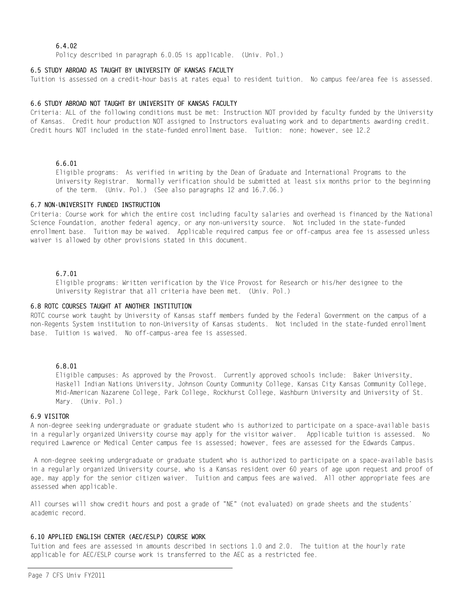## 6.4.02

Policy described in paragraph 6.0.05 is applicable. (Univ. Pol.)

#### 6.5 STUDY ABROAD AS TAUGHT BY UNIVERSITY OF KANSAS FACULTY

Tuition is assessed on a credit-hour basis at rates equal to resident tuition. No campus fee/area fee is assessed.

#### 6.6 STUDY ABROAD NOT TAUGHT BY UNIVERSITY OF KANSAS FACULTY

Criteria: ALL of the following conditions must be met: Instruction NOT provided by faculty funded by the University of Kansas. Credit hour production NOT assigned to Instructors evaluating work and to departments awarding credit. Credit hours NOT included in the state-funded enrollment base. Tuition: none; however, see 12.2

#### 6.6.01

Eligible programs: As verified in writing by the Dean of Graduate and International Programs to the University Registrar. Normally verification should be submitted at least six months prior to the beginning of the term. (Univ. Pol.) (See also paragraphs 12 and 16.7.06.)

#### 6.7 NON-UNIVERSITY FUNDED INSTRUCTION

Criteria: Course work for which the entire cost including faculty salaries and overhead is financed by the National Science Foundation, another federal agency, or any non-university source. Not included in the state-funded enrollment base. Tuition may be waived. Applicable required campus fee or off-campus area fee is assessed unless waiver is allowed by other provisions stated in this document.

## 6.7.01

Eligible programs: Written verification by the Vice Provost for Research or his/her designee to the University Registrar that all criteria have been met. (Univ. Pol.)

#### 6.8 ROTC COURSES TAUGHT AT ANOTHER INSTITUTION

ROTC course work taught by University of Kansas staff members funded by the Federal Government on the campus of a non-Regents System institution to non-University of Kansas students. Not included in the state-funded enrollment base. Tuition is waived. No off-campus-area fee is assessed.

#### 6.8.01

Eligible campuses: As approved by the Provost. Currently approved schools include: Baker University, Haskell Indian Nations University, Johnson County Community College, Kansas City Kansas Community College, Mid-American Nazarene College, Park College, Rockhurst College, Washburn University and University of St. Mary. (Univ. Pol.)

#### 6.9 VISITOR

A non-degree seeking undergraduate or graduate student who is authorized to participate on a space-available basis in a regularly organized University course may apply for the visitor waiver. Applicable tuition is assessed. No required Lawrence or Medical Center campus fee is assessed; however, fees are assessed for the Edwards Campus.

 A non-degree seeking undergraduate or graduate student who is authorized to participate on a space-available basis in a regularly organized University course, who is a Kansas resident over 60 years of age upon request and proof of age, may apply for the senior citizen waiver. Tuition and campus fees are waived. All other appropriate fees are assessed when applicable.

All courses will show credit hours and post a grade of "NE" (not evaluated) on grade sheets and the students' academic record.

#### 6.10 APPLIED ENGLISH CENTER (AEC/ESLP) COURSE WORK

Tuition and fees are assessed in amounts described in sections 1.0 and 2.0. The tuition at the hourly rate applicable for AEC/ESLP course work is transferred to the AEC as a restricted fee.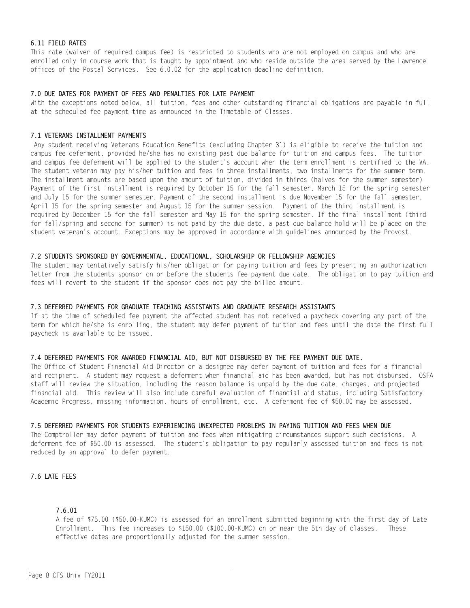# 6.11 FIELD RATES

This rate (waiver of required campus fee) is restricted to students who are not employed on campus and who are enrolled only in course work that is taught by appointment and who reside outside the area served by the Lawrence offices of the Postal Services. See 6.0.02 for the application deadline definition.

# 7.0 DUE DATES FOR PAYMENT OF FEES AND PENALTIES FOR LATE PAYMENT

With the exceptions noted below, all tuition, fees and other outstanding financial obligations are payable in full at the scheduled fee payment time as announced in the Timetable of Classes.

#### 7.1 VETERANS INSTALLMENT PAYMENTS

 Any student receiving Veterans Education Benefits (excluding Chapter 31) is eligible to receive the tuition and campus fee deferment, provided he/she has no existing past due balance for tuition and campus fees. The tuition and campus fee deferment will be applied to the student's account when the term enrollment is certified to the VA. The student veteran may pay his/her tuition and fees in three installments, two installments for the summer term. The installment amounts are based upon the amount of tuition, divided in thirds (halves for the summer semester) Payment of the first installment is required by October 15 for the fall semester, March 15 for the spring semester and July 15 for the summer semester. Payment of the second installment is due November 15 for the fall semester, April 15 for the spring semester and August 15 for the summer session. Payment of the third installment is required by December 15 for the fall semester and May 15 for the spring semester. If the final installment (third for fall/spring and second for summer) is not paid by the due date, a past due balance hold will be placed on the student veteran's account. Exceptions may be approved in accordance with guidelines announced by the Provost.

#### 7.2 STUDENTS SPONSORED BY GOVERNMENTAL, EDUCATIONAL, SCHOLARSHIP OR FELLOWSHIP AGENCIES

The student may tentatively satisfy his/her obligation for paying tuition and fees by presenting an authorization letter from the students sponsor on or before the students fee payment due date. The obligation to pay tuition and fees will revert to the student if the sponsor does not pay the billed amount.

#### 7.3 DEFERRED PAYMENTS FOR GRADUATE TEACHING ASSISTANTS AND GRADUATE RESEARCH ASSISTANTS

If at the time of scheduled fee payment the affected student has not received a paycheck covering any part of the term for which he/she is enrolling, the student may defer payment of tuition and fees until the date the first full paycheck is available to be issued.

#### 7.4 DEFERRED PAYMENTS FOR AWARDED FINANCIAL AID, BUT NOT DISBURSED BY THE FEE PAYMENT DUE DATE.

The Office of Student Financial Aid Director or a designee may defer payment of tuition and fees for a financial aid recipient. A student may request a deferment when financial aid has been awarded, but has not disbursed. OSFA staff will review the situation, including the reason balance is unpaid by the due date, charges, and projected financial aid. This review will also include careful evaluation of financial aid status, including Satisfactory Academic Progress, missing information, hours of enrollment, etc. A deferment fee of \$50.00 may be assessed.

#### 7.5 DEFERRED PAYMENTS FOR STUDENTS EXPERIENCING UNEXPECTED PROBLEMS IN PAYING TUITION AND FEES WHEN DUE

The Comptroller may defer payment of tuition and fees when mitigating circumstances support such decisions. A deferment fee of \$50.00 is assessed. The student's obligation to pay regularly assessed tuition and fees is not reduced by an approval to defer payment.

## 7.6 LATE FEES

# 7.6.01

A fee of \$75.00 (\$50.00-KUMC) is assessed for an enrollment submitted beginning with the first day of Late Enrollment. This fee increases to \$150.00 (\$100.00-KUMC) on or near the 5th day of classes. These effective dates are proportionally adjusted for the summer session.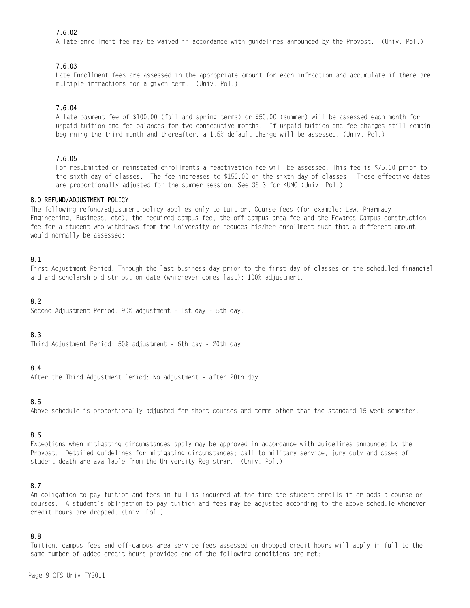# 7.6.02

A late-enrollment fee may be waived in accordance with guidelines announced by the Provost. (Univ. Pol.)

# 7.6.03

Late Enrollment fees are assessed in the appropriate amount for each infraction and accumulate if there are multiple infractions for a given term. (Univ. Pol.)

# 7.6.04

A late payment fee of \$100.00 (fall and spring terms) or \$50.00 (summer) will be assessed each month for unpaid tuition and fee balances for two consecutive months. If unpaid tuition and fee charges still remain, beginning the third month and thereafter, a 1.5% default charge will be assessed. (Univ. Pol.)

# 7.6.05

For resubmitted or reinstated enrollments a reactivation fee will be assessed. This fee is \$75.00 prior to the sixth day of classes. The fee increases to \$150.00 on the sixth day of classes. These effective dates are proportionally adjusted for the summer session. See 36.3 for KUMC (Univ. Pol.)

## 8.0 REFUND/ADJUSTMENT POLICY

The following refund/adjustment policy applies only to tuition, Course fees (for example: Law, Pharmacy, Engineering, Business, etc), the required campus fee, the off-campus-area fee and the Edwards Campus construction fee for a student who withdraws from the University or reduces his/her enrollment such that a different amount would normally be assessed:

# 8.1

First Adjustment Period: Through the last business day prior to the first day of classes or the scheduled financial aid and scholarship distribution date (whichever comes last): 100% adjustment.

# 8.2

Second Adjustment Period: 90% adjustment - 1st day - 5th day.

## 8.3

Third Adjustment Period: 50% adjustment - 6th day - 20th day

# 8.4

After the Third Adjustment Period: No adjustment - after 20th day.

## 8.5

Above schedule is proportionally adjusted for short courses and terms other than the standard 15-week semester.

## 8.6

Exceptions when mitigating circumstances apply may be approved in accordance with guidelines announced by the Provost. Detailed guidelines for mitigating circumstances; call to military service, jury duty and cases of student death are available from the University Registrar. (Univ. Pol.)

## 8.7

An obligation to pay tuition and fees in full is incurred at the time the student enrolls in or adds a course or courses. A student's obligation to pay tuition and fees may be adjusted according to the above schedule whenever credit hours are dropped. (Univ. Pol.)

## 8.8

Tuition, campus fees and off-campus area service fees assessed on dropped credit hours will apply in full to the same number of added credit hours provided one of the following conditions are met: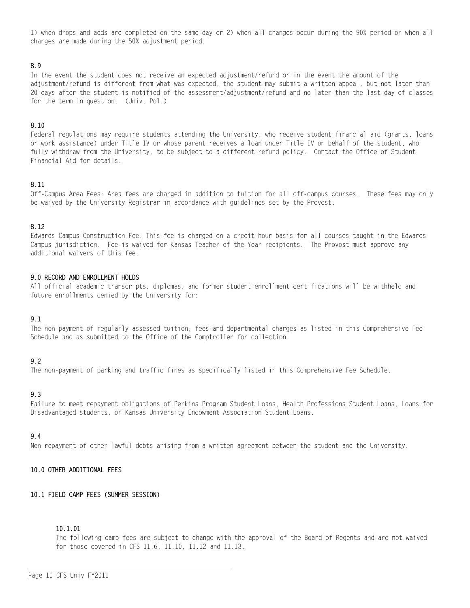1) when drops and adds are completed on the same day or 2) when all changes occur during the 90% period or when all changes are made during the 50% adjustment period.

# 8.9

In the event the student does not receive an expected adjustment/refund or in the event the amount of the adjustment/refund is different from what was expected, the student may submit a written appeal, but not later than 20 days after the student is notified of the assessment/adjustment/refund and no later than the last day of classes for the term in question. (Univ. Pol.)

## 8.10

Federal regulations may require students attending the University, who receive student financial aid (grants, loans or work assistance) under Title IV or whose parent receives a loan under Title IV on behalf of the student, who fully withdraw from the University, to be subject to a different refund policy. Contact the Office of Student Financial Aid for details.

#### 8.11

Off-Campus Area Fees: Area fees are charged in addition to tuition for all off-campus courses. These fees may only be waived by the University Registrar in accordance with guidelines set by the Provost.

## 8.12

Edwards Campus Construction Fee: This fee is charged on a credit hour basis for all courses taught in the Edwards Campus jurisdiction. Fee is waived for Kansas Teacher of the Year recipients. The Provost must approve any additional waivers of this fee.

#### 9.0 RECORD AND ENROLLMENT HOLDS

All official academic transcripts, diplomas, and former student enrollment certifications will be withheld and future enrollments denied by the University for:

## 9.1

The non-payment of regularly assessed tuition, fees and departmental charges as listed in this Comprehensive Fee Schedule and as submitted to the Office of the Comptroller for collection.

## 9.2

The non-payment of parking and traffic fines as specifically listed in this Comprehensive Fee Schedule.

## 9.3

Failure to meet repayment obligations of Perkins Program Student Loans, Health Professions Student Loans, Loans for Disadvantaged students, or Kansas University Endowment Association Student Loans.

## 9.4

Non-repayment of other lawful debts arising from a written agreement between the student and the University.

# 10.0 OTHER ADDITIONAL FEES

## 10.1 FIELD CAMP FEES (SUMMER SESSION)

### 10.1.01

The following camp fees are subject to change with the approval of the Board of Regents and are not waived for those covered in CFS 11.6, 11.10, 11.12 and 11.13.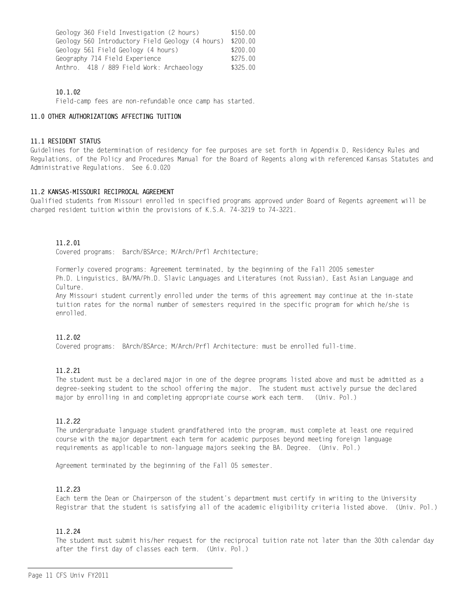| Geology 360 Field Investigation (2 hours)        | \$150.00 |
|--------------------------------------------------|----------|
| Geology 560 Introductory Field Geology (4 hours) | \$200.00 |
| Geology 561 Field Geology (4 hours)              | \$200.00 |
| Geography 714 Field Experience                   | \$275.00 |
| Anthro. 418 / 889 Field Work: Archaeology        | \$325.00 |

# 10.1.02

Field-camp fees are non-refundable once camp has started.

## 11.0 OTHER AUTHORIZATIONS AFFECTING TUITION

## 11.1 RESIDENT STATUS

Guidelines for the determination of residency for fee purposes are set forth in Appendix D, Residency Rules and Regulations, of the Policy and Procedures Manual for the Board of Regents along with referenced Kansas Statutes and Administrative Regulations. See 6.0.020

# 11.2 KANSAS-MISSOURI RECIPROCAL AGREEMENT

Qualified students from Missouri enrolled in specified programs approved under Board of Regents agreement will be charged resident tuition within the provisions of K.S.A. 74-3219 to 74-3221.

# 11.2.01

Covered programs: Barch/BSArce; M/Arch/Prfl Architecture;

Formerly covered programs: Agreement terminated, by the beginning of the Fall 2005 semester Ph.D. Linguistics, BA/MA/Ph.D. Slavic Languages and Literatures (not Russian), East Asian Language and Culture.

Any Missouri student currently enrolled under the terms of this agreement may continue at the in-state tuition rates for the normal number of semesters required in the specific program for which he/she is enrolled.

# 11.2.02

Covered programs: BArch/BSArce; M/Arch/Prfl Architecture: must be enrolled full-time.

# 11.2.21

The student must be a declared major in one of the degree programs listed above and must be admitted as a degree-seeking student to the school offering the major. The student must actively pursue the declared major by enrolling in and completing appropriate course work each term. (Univ. Pol.)

# 11.2.22

The undergraduate language student grandfathered into the program, must complete at least one required course with the major department each term for academic purposes beyond meeting foreign language requirements as applicable to non-language majors seeking the BA. Degree. (Univ. Pol.)

Agreement terminated by the beginning of the Fall 05 semester.

# 11.2.23

Each term the Dean or Chairperson of the student's department must certify in writing to the University Registrar that the student is satisfying all of the academic eligibility criteria listed above. (Univ. Pol.)

# 11.2.24

The student must submit his/her request for the reciprocal tuition rate not later than the 30th calendar day after the first day of classes each term. (Univ. Pol.)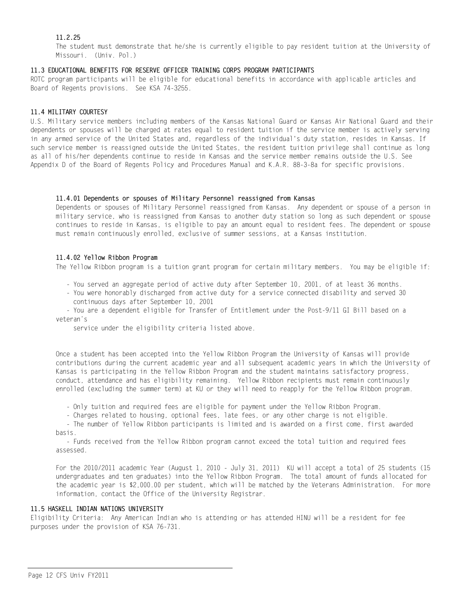# 11.2.25

The student must demonstrate that he/she is currently eligible to pay resident tuition at the University of Missouri. (Univ. Pol.)

## 11.3 EDUCATIONAL BENEFITS FOR RESERVE OFFICER TRAINING CORPS PROGRAM PARTICIPANTS

ROTC program participants will be eligible for educational benefits in accordance with applicable articles and Board of Regents provisions. See KSA 74-3255.

## 11.4 MILITARY COURTESY

U.S. Military service members including members of the Kansas National Guard or Kansas Air National Guard and their dependents or spouses will be charged at rates equal to resident tuition if the service member is actively serving in any armed service of the United States and, regardless of the individual's duty station, resides in Kansas. If such service member is reassigned outside the United States, the resident tuition privilege shall continue as long as all of his/her dependents continue to reside in Kansas and the service member remains outside the U.S. See Appendix D of the Board of Regents Policy and Procedures Manual and K.A.R. 88-3-8a for specific provisions.

#### 11.4.01 Dependents or spouses of Military Personnel reassigned from Kansas

Dependents or spouses of Military Personnel reassigned from Kansas. Any dependent or spouse of a person in military service, who is reassigned from Kansas to another duty station so long as such dependent or spouse continues to reside in Kansas, is eligible to pay an amount equal to resident fees. The dependent or spouse must remain continuously enrolled, exclusive of summer sessions, at a Kansas institution.

## 11.4.02 Yellow Ribbon Program

The Yellow Ribbon program is a tuition grant program for certain military members. You may be eligible if:

- You served an aggregate period of active duty after September 10, 2001, of at least 36 months.
- You were honorably discharged from active duty for a service connected disability and served 30 continuous days after September 10, 2001
- You are a dependent eligible for Transfer of Entitlement under the Post-9/11 GI Bill based on a veteran's

service under the eligibility criteria listed above.

Once a student has been accepted into the Yellow Ribbon Program the University of Kansas will provide contributions during the current academic year and all subsequent academic years in which the University of Kansas is participating in the Yellow Ribbon Program and the student maintains satisfactory progress, conduct, attendance and has eligibility remaining. Yellow Ribbon recipients must remain continuously enrolled (excluding the summer term) at KU or they will need to reapply for the Yellow Ribbon program.

- Only tuition and required fees are eligible for payment under the Yellow Ribbon Program.

- Charges related to housing, optional fees, late fees, or any other charge is not eligible.

 - The number of Yellow Ribbon participants is limited and is awarded on a first come, first awarded basis.

 - Funds received from the Yellow Ribbon program cannot exceed the total tuition and required fees assessed.

For the 2010/2011 academic Year (August 1, 2010 - July 31, 2011) KU will accept a total of 25 students (15 undergraduates and ten graduates) into the Yellow Ribbon Program. The total amount of funds allocated for the academic year is \$2,000.00 per student, which will be matched by the Veterans Administration. For more information, contact the Office of the University Registrar.

#### 11.5 HASKELL INDIAN NATIONS UNIVERSITY

Eligibility Criteria: Any American Indian who is attending or has attended HINU will be a resident for fee purposes under the provision of KSA 76-731.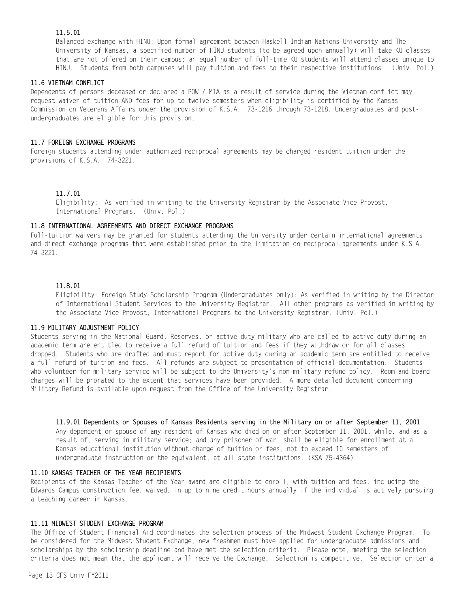# 11.5.01

Balanced exchange with HINU: Upon formal agreement between Haskell Indian Nations University and The University of Kansas, a specified number of HINU students (to be agreed upon annually) will take KU classes that are not offered on their campus; an equal number of full-time KU students will attend classes unique to HINU. Students from both campuses will pay tuition and fees to their respective institutions. (Univ. Pol.)

# 11.6 VIETNAM CONFLICT

Dependents of persons deceased or declared a POW / MIA as a result of service during the Vietnam conflict may request waiver of tuition AND fees for up to twelve semesters when eligibility is certified by the Kansas Commission on Veterans Affairs under the provision of K.S.A. 73-1216 through 73-1218. Undergraduates and postundergraduates are eligible for this provision.

# 11.7 FOREIGN EXCHANGE PROGRAMS

Foreign students attending under authorized reciprocal agreements may be charged resident tuition under the provisions of K.S.A. 74-3221.

# 11.7.01

Eligibility: As verified in writing to the University Registrar by the Associate Vice Provost, International Programs. (Univ. Pol.)

# 11.8 INTERNATIONAL AGREEMENTS AND DIRECT EXCHANGE PROGRAMS

Full-tuition waivers may be granted for students attending the University under certain international agreements and direct exchange programs that were established prior to the limitation on reciprocal agreements under K.S.A. 74-3221.

## 11.8.01

Eligibility: Foreign Study Scholarship Program (Undergraduates only): As verified in writing by the Director of International Student Services to the University Registrar. All other programs as verified in writing by the Associate Vice Provost, International Programs to the University Registrar. (Univ. Pol.)

## 11.9 MILITARY ADJUSTMENT POLICY

Students serving in the National Guard, Reserves, or active duty military who are called to active duty during an academic term are entitled to receive a full refund of tuition and fees if they withdraw or for all classes dropped. Students who are drafted and must report for active duty during an academic term are entitled to receive a full refund of tuition and fees. All refunds are subject to presentation of official documentation. Students who volunteer for military service will be subject to the University's non-military refund policy. Room and board charges will be prorated to the extent that services have been provided. A more detailed document concerning Military Refund is available upon request from the Office of the University Registrar.

Any dependent or spouse of any resident of Kansas who died on or after September 11, 2001, while, and as a result of, serving in military service; and any prisoner of war, shall be eligible for enrollment at a Kansas educational institution without charge of tuition or fees, not to exceed 10 semesters of undergraduate instruction or the equivalent, at all state institutions. (KSA 75-4364). 11.9.01 Dependents or Spouses of Kansas Residents serving in the Military on or after September 11, 2001

# 11.10 KANSAS TEACHER OF THE YEAR RECIPIENTS

Recipients of the Kansas Teacher of the Year award are eligible to enroll, with tuition and fees, including the Edwards Campus construction fee, waived, in up to nine credit hours annually if the individual is actively pursuing a teaching career in Kansas.

## 11.11 MIDWEST STUDENT EXCHANGE PROGRAM

The Office of Student Financial Aid coordinates the selection process of the Midwest Student Exchange Program. To be considered for the Midwest Student Exchange, new freshmen must have applied for undergraduate admissions and scholarships by the scholarship deadline and have met the selection criteria. Please note, meeting the selection criteria does not mean that the applicant will receive the Exchange. Selection is competitive. Selection criteria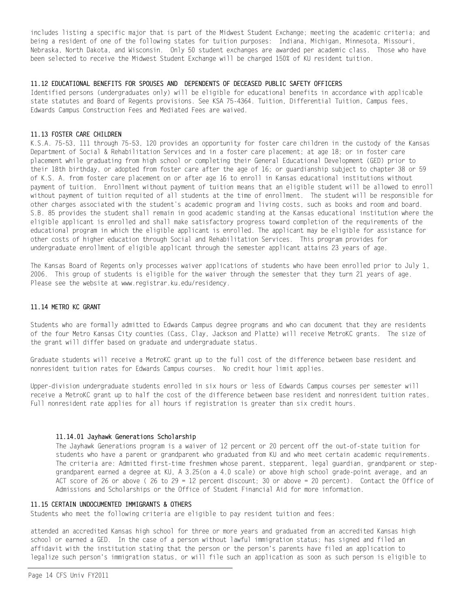includes listing a specific major that is part of the Midwest Student Exchange; meeting the academic criteria; and being a resident of one of the following states for tuition purposes: Indiana, Michigan, Minnesota, Missouri, Nebraska, North Dakota, and Wisconsin. Only 50 student exchanges are awarded per academic class. Those who have been selected to receive the Midwest Student Exchange will be charged 150% of KU resident tuition.

#### 11.12 EDUCATIONAL BENEFITS FOR SPOUSES AND DEPENDENTS OF DECEASED PUBLIC SAFETY OFFICERS

Identified persons (undergraduates only) will be eligible for educational benefits in accordance with applicable state statutes and Board of Regents provisions. See KSA 75-4364. Tuition, Differential Tuition, Campus fees, Edwards Campus Construction Fees and Mediated Fees are waived.

## 11.13 FOSTER CARE CHILDREN

K.S.A. 75-53, 111 through 75-53, 120 provides an opportunity for foster care children in the custody of the Kansas Department of Social & Rehabilitation Services and in a foster care placement; at age 18; or in foster care placement while graduating from high school or completing their General Educational Development (GED) prior to their 18th birthday, or adopted from foster care after the age of 16; or guardianship subject to chapter 38 or 59 of K.S. A. from foster care placement on or after age 16 to enroll in Kansas educational institutions without payment of tuition. Enrollment without payment of tuition means that an eligible student will be allowed to enroll without payment of tuition requited of all students at the time of enrollment. The student will be responsible for other charges associated with the student's academic program and living costs, such as books and room and board. S.B. 85 provides the student shall remain in good academic standing at the Kansas educational institution where the eligible applicant is enrolled and shall make satisfactory progress toward completion of the requirements of the educational program in which the eligible applicant is enrolled. The applicant may be eligible for assistance for other costs of higher education through Social and Rehabilitation Services. This program provides for undergraduate enrollment of eligible applicant through the semester applicant attains 23 years of age.

The Kansas Board of Regents only processes waiver applications of students who have been enrolled prior to July 1, 2006. This group of students is eligible for the waiver through the semester that they turn 21 years of age. Please see the website at www.registrar.ku.edu/residency.

#### 11.14 METRO KC GRANT

Students who are formally admitted to Edwards Campus degree programs and who can document that they are residents of the four Metro Kansas City counties (Cass, Clay, Jackson and Platte) will receive MetroKC grants. The size of the grant will differ based on graduate and undergraduate status.

Graduate students will receive a MetroKC grant up to the full cost of the difference between base resident and nonresident tuition rates for Edwards Campus courses. No credit hour limit applies.

Upper-division undergraduate students enrolled in six hours or less of Edwards Campus courses per semester will receive a MetroKC grant up to half the cost of the difference between base resident and nonresident tuition rates. Full nonresident rate applies for all hours if registration is greater than six credit hours.

## 11.14.01 Jayhawk Generations Scholarship

The Jayhawk Generations program is a waiver of 12 percent or 20 percent off the out-of-state tuition for students who have a parent or grandparent who graduated from KU and who meet certain academic requirements. The criteria are: Admitted first-time freshmen whose parent, stepparent, legal guardian, grandparent or stepgrandparent earned a degree at KU, A 3.25(on a 4.0 scale) or above high school grade-point average, and an ACT score of 26 or above ( 26 to 29 = 12 percent discount; 30 or above = 20 percent). Contact the Office of Admissions and Scholarships or the Office of Student Financial Aid for more information.

#### 11.15 CERTAIN UNDOCUMENTED IMMIGRANTS & OTHERS

Students who meet the following criteria are eligible to pay resident tuition and fees:

attended an accredited Kansas high school for three or more years and graduated from an accredited Kansas high school or earned a GED. In the case of a person without lawful immigration status; has signed and filed an affidavit with the institution stating that the person or the person's parents have filed an application to legalize such person's immigration status, or will file such an application as soon as such person is eligible to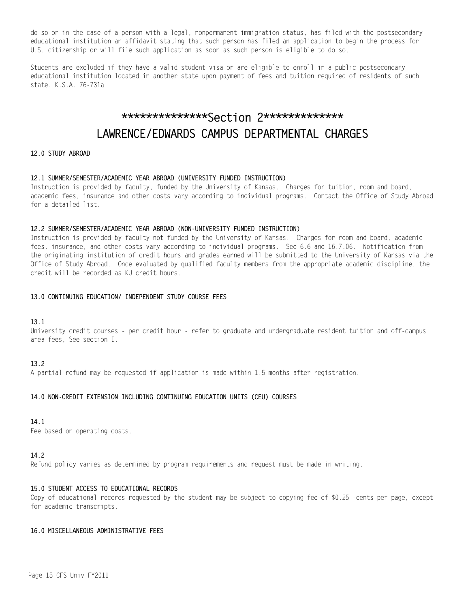do so or in the case of a person with a legal, nonpermanent immigration status, has filed with the postsecondary educational institution an affidavit stating that such person has filed an application to begin the process for U.S. citizenship or will file such application as soon as such person is eligible to do so.

Students are excluded if they have a valid student visa or are eligible to enroll in a public postsecondary educational institution located in another state upon payment of fees and tuition required of residents of such state. K.S.A. 76-731a

# \*\*\*\*\*\*\*\*\*\*\*\*\*\*Section 2\*\*\*\*\*\*\*\*\*\*\*\*\* LAWRENCE/EDWARDS CAMPUS DEPARTMENTAL CHARGES

# 12.0 STUDY ABROAD

#### 12.1 SUMMER/SEMESTER/ACADEMIC YEAR ABROAD (UNIVERSITY FUNDED INSTRUCTION)

Instruction is provided by faculty, funded by the University of Kansas. Charges for tuition, room and board, academic fees, insurance and other costs vary according to individual programs. Contact the Office of Study Abroad for a detailed list.

#### 12.2 SUMMER/SEMESTER/ACADEMIC YEAR ABROAD (NON-UNIVERSITY FUNDED INSTRUCTION)

Instruction is provided by faculty not funded by the University of Kansas. Charges for room and board, academic fees, insurance, and other costs vary according to individual programs. See 6.6 and 16.7.06. Notification from the originating institution of credit hours and grades earned will be submitted to the University of Kansas via the Office of Study Abroad. Once evaluated by qualified faculty members from the appropriate academic discipline, the credit will be recorded as KU credit hours.

#### 13.0 CONTINUING EDUCATION/ INDEPENDENT STUDY COURSE FEES

## 13.1

University credit courses - per credit hour - refer to graduate and undergraduate resident tuition and off-campus area fees, See section I,

## 13.2

A partial refund may be requested if application is made within 1.5 months after registration.

## 14.0 NON-CREDIT EXTENSION INCLUDING CONTINUING EDUCATION UNITS (CEU) COURSES

## 14.1

Fee based on operating costs.

#### 14.2

Refund policy varies as determined by program requirements and request must be made in writing.

#### 15.0 STUDENT ACCESS TO EDUCATIONAL RECORDS

Copy of educational records requested by the student may be subject to copying fee of \$0.25 -cents per page, except for academic transcripts.

## 16.0 MISCELLANEOUS ADMINISTRATIVE FEES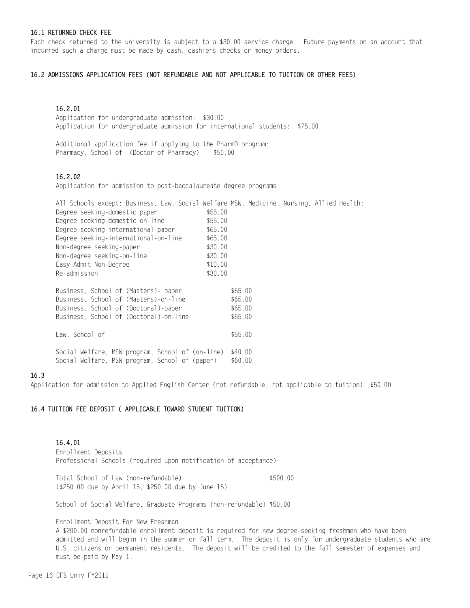#### 16.1 RETURNED CHECK FEE

Each check returned to the university is subject to a \$30.00 service charge. Future payments on an account that incurred such a charge must be made by cash, cashiers checks or money orders.

## 16.2 ADMISSIONS APPLICATION FEES (NOT REFUNDABLE AND NOT APPLICABLE TO TUITION OR OTHER FEES)

# 16.2.01

Application for undergraduate admission: \$30.00 Application for undergraduate admission for international students: \$75.00

Additional application fee if applying to the PharmD program: Pharmacy, School of (Doctor of Pharmacy) \$50.00

## 16.2.02

Application for admission to post-baccalaureate degree programs:

| All Schools except: Business, Law, Social Welfare MSW, Medicine, Nursing, Allied Health: |         |         |  |  |
|------------------------------------------------------------------------------------------|---------|---------|--|--|
| Degree seeking-domestic paper                                                            | \$55.00 |         |  |  |
| Degree seeking-domestic on-line                                                          | \$55.00 |         |  |  |
| Degree seeking-international-paper                                                       | \$65.00 |         |  |  |
| Degree seeking-international-on-line                                                     | \$65.00 |         |  |  |
| Non-degree seeking-paper                                                                 | \$30.00 |         |  |  |
| Non-degree seeking-on-line                                                               | \$30.00 |         |  |  |
| Easy Admit Non-Degree                                                                    | \$10.00 |         |  |  |
| Re-admission                                                                             | \$30.00 |         |  |  |
|                                                                                          |         |         |  |  |
| Business, School of (Masters)- paper                                                     |         | \$65.00 |  |  |
| Business, School of (Masters)-on-line                                                    |         | \$65.00 |  |  |
| Business, School of (Doctoral)-paper                                                     |         | \$65.00 |  |  |
| Business, School of (Doctoral)-on-line                                                   |         | \$65.00 |  |  |
|                                                                                          |         |         |  |  |
| Law, School of                                                                           |         | \$55.00 |  |  |
|                                                                                          |         |         |  |  |
| Social Welfare, MSW program, School of (on-line)                                         |         | \$40.00 |  |  |
| Social Welfare, MSW program, School of (paper)                                           |         | \$60.00 |  |  |
|                                                                                          |         |         |  |  |

#### 16.3

Application for admission to Applied English Center (not refundable; not applicable to tuition) \$50.00

#### 16.4 TUITION FEE DEPOSIT ( APPLICABLE TOWARD STUDENT TUITION)

Enrollment Deposits Professional Schools (required upon notification of acceptance) 16.4.01

Total School of Law (non-refundable) \$500.00 (\$250.00 due by April 15, \$250.00 due by June 15)

School of Social Welfare, Graduate Programs (non-refundable) \$50.00

Enrollment Deposit For New Freshman:

A \$200.00 nonrefundable enrollment deposit is required for new degree-seeking freshmen who have been admitted and will begin in the summer or fall term. The deposit is only for undergraduate students who are U.S. citizens or permanent residents. The deposit will be credited to the fall semester of expenses and must be paid by May 1.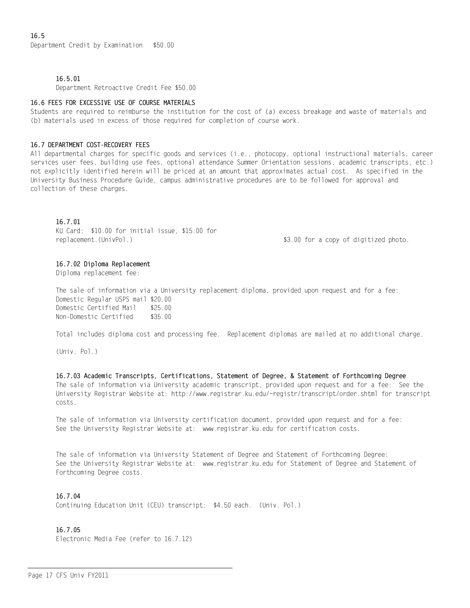## 16.5.01

Department Retroactive Credit Fee \$50.00

#### 16.6 FEES FOR EXCESSIVE USE OF COURSE MATERIALS

Students are required to reimburse the institution for the cost of (a) excess breakage and waste of materials and (b) materials used in excess of those required for completion of course work.

#### 16.7 DEPARTMENT COST-RECOVERY FEES

All departmental charges for specific goods and services (i.e., photocopy, optional instructional materials, career services user fees, building use fees, optional attendance Summer Orientation sessions, academic transcripts, etc.) not explicitly identified herein will be priced at an amount that approximates actual cost. As specified in the University Business Procedure Guide, campus administrative procedures are to be followed for approval and collection of these charges.

## 16.7.01

KU Card: \$10.00 for initial issue, \$15.00 for replacement.(UnivPol.) \$3.00 for a copy of digitized photo.

#### 16.7.02 Diploma Replacement

Diploma replacement fee:

The sale of information via a University replacement diploma, provided upon request and for a fee: Domestic Regular USPS mail \$20.00 Domestic Certified Mail \$25.00 Non-Domestic Certified \$35.00

Total includes diploma cost and processing fee. Replacement diplomas are mailed at no additional charge.

(Univ. Pol.)

The sale of information via University academic transcript, provided upon request and for a fee: See the University Registrar Website at: http://www.registrar.ku.edu/~registr/transcript/order.shtml for transcript costs. 16.7.03 Academic Transcripts, Certifications, Statement of Degree, & Statement of Forthcoming Degree

The sale of information via University certification document, provided upon request and for a fee: See the University Registrar Website at: www.registrar.ku.edu for certification costs.

The sale of information via University Statement of Degree and Statement of Forthcoming Degree: See the University Registrar Website at: www.registrar.ku.edu for Statement of Degree and Statement of Forthcoming Degree costs.

## 16.7.04

Continuing Education Unit (CEU) transcript: \$4.50 each. (Univ. Pol.)

## 16.7.05

Electronic Media Fee (refer to 16.7.12)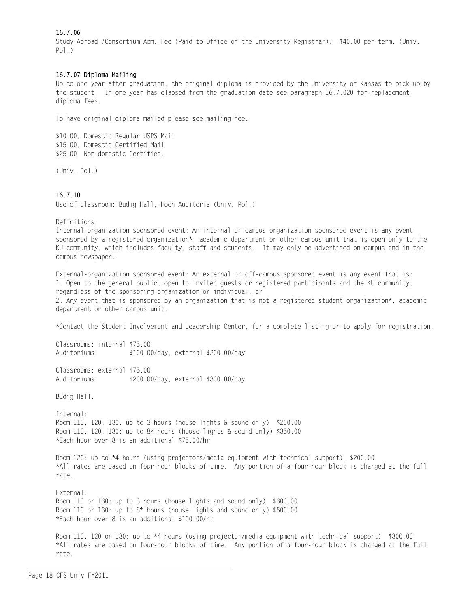# 16.7.06

Study Abroad /Consortium Adm. Fee (Paid to Office of the University Registrar): \$40.00 per term. (Univ. Pol.)

## 16.7.07 Diploma Mailing

Up to one year after graduation, the original diploma is provided by the University of Kansas to pick up by the student. If one year has elapsed from the graduation date see paragraph 16.7.020 for replacement diploma fees.

To have original diploma mailed please see mailing fee:

\$10.00, Domestic Regular USPS Mail \$15.00, Domestic Certified Mail \$25.00 Non-domestic Certified.

(Univ. Pol.)

# 16.7.10

Use of classroom: Budig Hall, Hoch Auditoria (Univ. Pol.)

Definitions:

Internal-organization sponsored event: An internal or campus organization sponsored event is any event sponsored by a registered organization\*, academic department or other campus unit that is open only to the KU community, which includes faculty, staff and students. It may only be advertised on campus and in the campus newspaper.

External-organization sponsored event: An external or off-campus sponsored event is any event that is: 1. Open to the general public, open to invited guests or registered participants and the KU community, regardless of the sponsoring organization or individual, or 2. Any event that is sponsored by an organization that is not a registered student organization\*, academic department or other campus unit.

\*Contact the Student Involvement and Leadership Center, for a complete listing or to apply for registration.

Classrooms: internal \$75.00 Auditoriums: \$100.00/day, external \$200.00/day

Classrooms: external \$75.00 Auditoriums: \$200.00/day, external \$300.00/day

Budig Hall:

Internal: Room 110, 120, 130: up to 3 hours (house lights & sound only) \$200.00 Room 110, 120, 130: up to 8\* hours (house lights & sound only) \$350.00 \*Each hour over 8 is an additional \$75.00/hr

Room 120: up to \*4 hours (using projectors/media equipment with technical support) \$200.00 \*All rates are based on four-hour blocks of time. Any portion of a four-hour block is charged at the full rate.

External: Room 110 or 130: up to 3 hours (house lights and sound only) \$300.00 Room 110 or 130: up to 8\* hours (house lights and sound only) \$500.00 \*Each hour over 8 is an additional \$100.00/hr

Room 110, 120 or 130: up to \*4 hours (using projector/media equipment with technical support) \$300.00 \*All rates are based on four-hour blocks of time. Any portion of a four-hour block is charged at the full rate.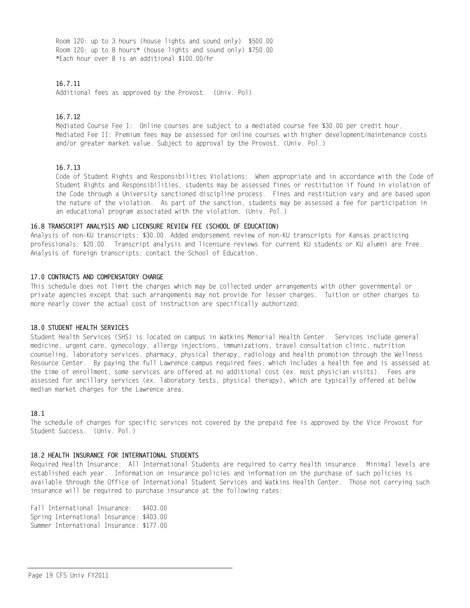Room 120: up to 3 hours (house lights and sound only) \$500.00 Room 120: up to 8 hours\* (house lights and sound only) \$750.00 \*Each hour over 8 is an additional \$100.00/hr

## 16.7.11

Additional fees as approved by the Provost. (Univ. Pol)

#### 16.7.12

Mediated Course Fee I: Online courses are subject to a mediated course fee \$30.00 per credit hour. Mediated Fee II: Premium fees may be assessed for online courses with higher development/maintenance costs and/or greater market value. Subject to approval by the Provost. (Univ. Pol.)

#### 16.7.13

Code of Student Rights and Responsibilities Violations: When appropriate and in accordance with the Code of Student Rights and Responsibilities, students may be assessed fines or restitution if found in violation of the Code through a University sanctioned discipline process. Fines and restitution vary and are based upon the nature of the violation. As part of the sanction, students may be assessed a fee for participation in an educational program associated with the violation. (Univ. Pol.)

#### 16.8 TRANSCRIPT ANALYSIS AND LICENSURE REVIEW FEE (SCHOOL OF EDUCATION)

Analysis of non-KU transcripts: \$30.00. Added endorsement review of non-KU transcripts for Kansas practicing professionals: \$20.00. Transcript analysis and licensure reviews for current KU students or KU alumni are free. Analysis of foreign transcripts: contact the School of Education.

#### 17.0 CONTRACTS AND COMPENSATORY CHARGE

This schedule does not limit the charges which may be collected under arrangements with other governmental or private agencies except that such arrangements may not provide for lesser charges. Tuition or other charges to more nearly cover the actual cost of instruction are specifically authorized.

#### 18.0 STUDENT HEALTH SERVICES

Student Health Services (SHS) is located on campus in Watkins Memorial Health Center. Services include general medicine, urgent care, gynecology, allergy injections, immunizations, travel consultation clinic, nutrition counseling, laboratory services, pharmacy, physical therapy, radiology and health promotion through the Wellness Resource Center. By paying the full Lawrence campus required fees, which includes a health fee and is assessed at the time of enrollment, some services are offered at no additional cost (ex. most physician visits). Fees are assessed for ancillary services (ex. laboratory tests, physical therapy), which are typically offered at below median market charges for the Lawrence area.

#### 18.1

The schedule of charges for specific services not covered by the prepaid fee is approved by the Vice Provost for Student Success. (Univ. Pol.)

#### 18.2 HEALTH INSURANCE FOR INTERNATIONAL STUDENTS

Required Health Insurance: All International Students are required to carry health insurance. Minimal levels are established each year. Information on insurance policies and information on the purchase of such policies is available through the Office of International Student Services and Watkins Health Center. Those not carrying such insurance will be required to purchase insurance at the following rates:

Fall International Insurance: \$403.00 Spring International Insurance: \$403.00 Summer International Insurance: \$177.00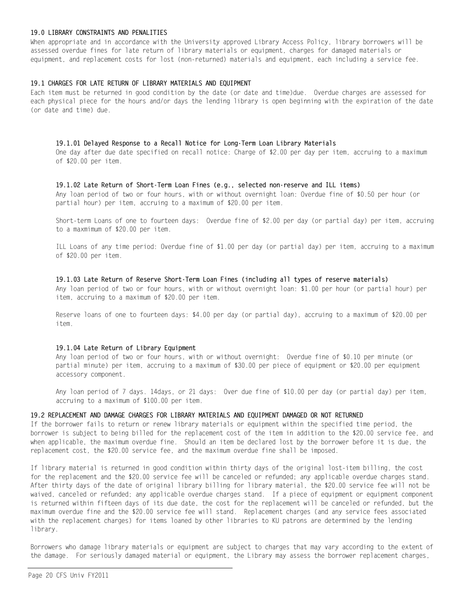## 19.0 LIBRARY CONSTRAINTS AND PENALITIES

When appropriate and in accordance with the University approved Library Access Policy, library borrowers will be assessed overdue fines for late return of library materials or equipment, charges for damaged materials or equipment, and replacement costs for lost (non-returned) materials and equipment, each including a service fee.

## 19.1 CHARGES FOR LATE RETURN OF LIBRARY MATERIALS AND EQUIPMENT

Each item must be returned in good condition by the date (or date and time)due. Overdue charges are assessed for each physical piece for the hours and/or days the lending library is open beginning with the expiration of the date (or date and time) due.

#### 19.1.01 Delayed Response to a Recall Notice for Long-Term Loan Library Materials

One day after due date specified on recall notice: Charge of \$2.00 per day per item, accruing to a maximum of \$20.00 per item.

## 19.1.02 Late Return of Short-Term Loan Fines (e.g., selected non-reserve and ILL items)

Any loan period of two or four hours, with or without overnight loan: Overdue fine of \$0.50 per hour (or partial hour) per item, accruing to a maximum of \$20.00 per item.

Short-term Loans of one to fourteen days: Overdue fine of \$2.00 per day (or partial day) per item, accruing to a maxmimum of \$20.00 per item.

ILL Loans of any time period: Overdue fine of \$1.00 per day (or partial day) per item, accruing to a maximum of \$20.00 per item.

#### 19.1.03 Late Return of Reserve Short-Term Loan Fines (including all types of reserve materials)

Any loan period of two or four hours, with or without overnight loan: \$1.00 per hour (or partial hour) per item, accruing to a maximum of \$20.00 per item.

Reserve loans of one to fourteen days: \$4.00 per day (or partial day), accruing to a maximum of \$20.00 per item.

#### 19.1.04 Late Return of Library Equipment

Any loan period of two or four hours, with or without overnight: Overdue fine of \$0.10 per minute (or partial minute) per item, accruing to a maximum of \$30.00 per piece of equipment or \$20.00 per equipment accessory component.

Any loan period of 7 days. 14days, or 21 days: Over due fine of \$10.00 per day (or partial day) per item, accruing to a maximum of \$100.00 per item.

## 19.2 REPLACEMENT AND DAMAGE CHARGES FOR LIBRARY MATERIALS AND EQUIPMENT DAMAGED OR NOT RETURNED

If the borrower fails to return or renew library materials or equipment within the specified time period, the borrower is subject to being billed for the replacement cost of the item in addition to the \$20.00 service fee, and when applicable, the maximum overdue fine. Should an item be declared lost by the borrower before it is due, the replacement cost, the \$20.00 service fee, and the maximum overdue fine shall be imposed.

If library material is returned in good condition within thirty days of the original lost-item billing, the cost for the replacement and the \$20.00 service fee will be canceled or refunded; any applicable overdue charges stand. After thirty days of the date of original library billing for library material, the \$20.00 service fee will not be waived, canceled or refunded; any applicable overdue charges stand. If a piece of equipment or equipment component is returned within fifteen days of its due date, the cost for the replacement will be canceled or refunded, but the maximum overdue fine and the \$20.00 service fee will stand. Replacement charges (and any service fees associated with the replacement charges) for items loaned by other libraries to KU patrons are determined by the lending library.

Borrowers who damage library materials or equipment are subject to charges that may vary according to the extent of the damage. For seriously damaged material or equipment, the Library may assess the borrower replacement charges,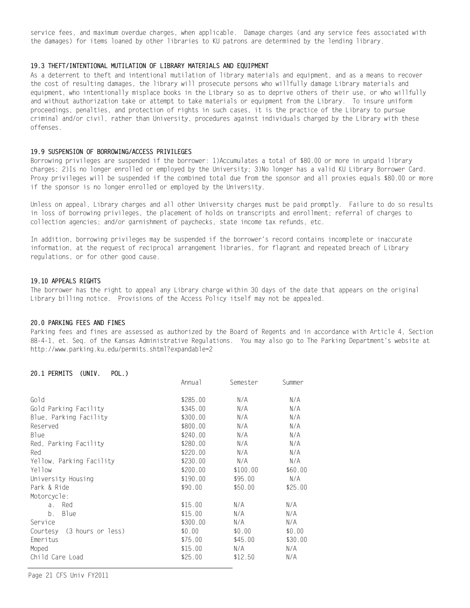service fees, and maximum overdue charges, when applicable. Damage charges (and any service fees associated with the damages) for items loaned by other libraries to KU patrons are determined by the lending library.

#### 19.3 THEFT/INTENTIONAL MUTILATION OF LIBRARY MATERIALS AND EQUIPMENT

As a deterrent to theft and intentional mutilation of library materials and equipment, and as a means to recover the cost of resulting damages, the library will prosecute persons who willfully damage Library materials and equipment, who intentionally misplace books in the Library so as to deprive others of their use, or who willfully and without authorization take or attempt to take materials or equipment from the Library. To insure uniform proceedings, penalties, and protection of rights in such cases, it is the practice of the Library to pursue criminal and/or civil, rather than University, procedures against individuals charged by the Library with these offenses.

#### 19.9 SUSPENSION OF BORROWING/ACCESS PRIVILEGES

Borrowing privileges are suspended if the borrower: 1)Accumulates a total of \$80.00 or more in unpaid library charges; 2)Is no longer enrolled or employed by the University; 3)No longer has a valid KU Library Borrower Card. Proxy privileges will be suspended if the combined total due from the sponsor and all proxies equals \$80.00 or more if the sponsor is no longer enrolled or employed by the University.

Unless on appeal, Library charges and all other University charges must be paid promptly. Failure to do so results in loss of borrowing privileges, the placement of holds on transcripts and enrollment; referral of charges to collection agencies; and/or garnishment of paychecks, state income tax refunds, etc.

In addition, borrowing privileges may be suspended if the borrower's record contains incomplete or inaccurate information, at the request of reciprocal arrangement libraries, for flagrant and repeated breach of Library regulations, or for other good cause.

#### 19.10 APPEALS RIGHTS

The borrower has the right to appeal any Library charge within 30 days of the date that appears on the original Library billing notice. Provisions of the Access Policy itself may not be appealed.

#### 20.0 PARKING FEES AND FINES

Parking fees and fines are assessed as authorized by the Board of Regents and in accordance with Article 4, Section 88-4-1, et. Seq. of the Kansas Administrative Regulations. You may also go to The Parking Department's website at http://www.parking.ku.edu/permits.shtml?expandable=2

#### 20.1 PERMITS (UNIV. POL.)

|                            | Annua 1  | Semester | Summer  |
|----------------------------|----------|----------|---------|
| Gold                       | \$285.00 | N/A      | N/A     |
| Gold Parking Facility      | \$345.00 | N/A      | N/A     |
| Blue, Parking Facility     | \$300.00 | N/A      | N/A     |
| Reserved                   | \$800.00 | N/A      | N/A     |
| <b>Blue</b>                | \$240.00 | N/A      | N/A     |
| Red, Parking Facility      | \$280.00 | N/A      | N/A     |
| Red                        | \$220.00 | N/A      | N/A     |
| Yellow, Parking Facility   | \$230.00 | N/A      | N/A     |
| Yellow                     | \$200.00 | \$100.00 | \$60.00 |
| University Housing         | \$190.00 | \$95.00  | N/A     |
| Park & Ride                | \$90.00  | \$50.00  | \$25.00 |
| Motorcycle:                |          |          |         |
| Red<br>$\partial$ .        | \$15.00  | N/A      | N/A     |
| b.<br>Blue                 | \$15.00  | N/A      | N/A     |
| Service                    | \$300.00 | N/A      | N/A     |
| Courtesy (3 hours or less) | \$0.00   | \$0.00   | \$0.00  |
| Emeritus                   | \$75.00  | \$45.00  | \$30.00 |
| Moped                      | \$15.00  | N/A      | N/A     |
| Child Care Load            | \$25.00  | \$12.50  | N/A     |
|                            |          |          |         |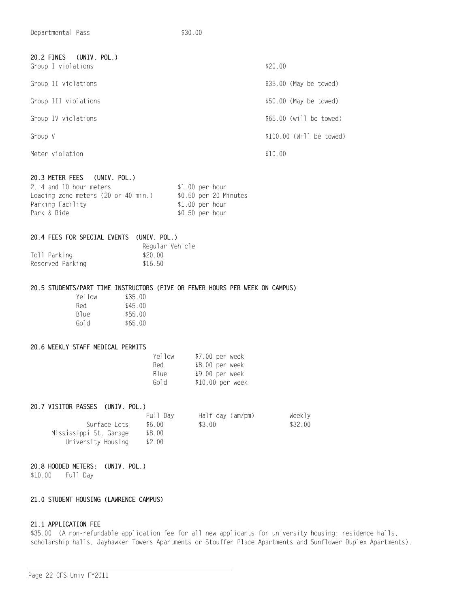| 20.2 FINES (UNIV. POL.)<br>Group I violations | \$20.00                  |
|-----------------------------------------------|--------------------------|
| Group II violations                           | \$35.00 (May be towed)   |
| Group III violations                          | $$50.00$ (May be towed)  |
| Group IV violations                           | $$65.00$ (will be towed) |
| Group V                                       | \$100.00 (Will be towed) |
| Meter violation                               | \$10.00                  |
|                                               |                          |

# 20.3 METER FEES (UNIV. POL.)

| 2. 4 and 10 hour meters             | $$1.00$ per hour |                       |
|-------------------------------------|------------------|-----------------------|
| Loading zone meters (20 or 40 min.) |                  | \$0.50 per 20 Minutes |
| Parking Facility                    | $$1.00$ per hour |                       |
| Park & Ride                         | $$0.50$ per hour |                       |

|              | 20.4 FEES FOR SPECIAL EVENTS (UNIV. POL.) |         |                 |
|--------------|-------------------------------------------|---------|-----------------|
|              |                                           |         | Regular Vehicle |
| Toll Parking |                                           | \$20.00 |                 |

| Toll Parking     | \$20.00 |
|------------------|---------|
| Reserved Parking | \$16.50 |

## 20.5 STUDENTS/PART TIME INSTRUCTORS (FIVE OR FEWER HOURS PER WEEK ON CAMPUS)

| Yellow           | \$35.00 |
|------------------|---------|
| Red              | \$45.00 |
| B <sub>lue</sub> | \$55.00 |
| Gold             | \$65.00 |

## 20.6 WEEKLY STAFF MEDICAL PERMITS

| Yellow           | \$7.00 per week  |
|------------------|------------------|
| Red              | \$8.00 per week  |
| B <sub>lue</sub> | \$9.00 per week  |
| Gold             | \$10.00 per week |

| 20.7 VISITOR PASSES (UNIV. POL.) |          |                  |         |
|----------------------------------|----------|------------------|---------|
|                                  | Full Dav | Half day (am/pm) | Weekly  |
| Surface Lots                     | \$6.00   | \$3 00           | \$32.00 |
| Mississippi St. Garage           | \$8.00   |                  |         |
| University Housing               | \$2.00   |                  |         |

## 20.8 HOODED METERS: (UNIV. POL.)

\$10.00 Full Day

# 21.0 STUDENT HOUSING (LAWRENCE CAMPUS)

# 21.1 APPLICATION FEE

\$35.00 (A non-refundable application fee for all new applicants for university housing: residence halls, scholarship halls, Jayhawker Towers Apartments or Stouffer Place Apartments and Sunflower Duplex Apartments).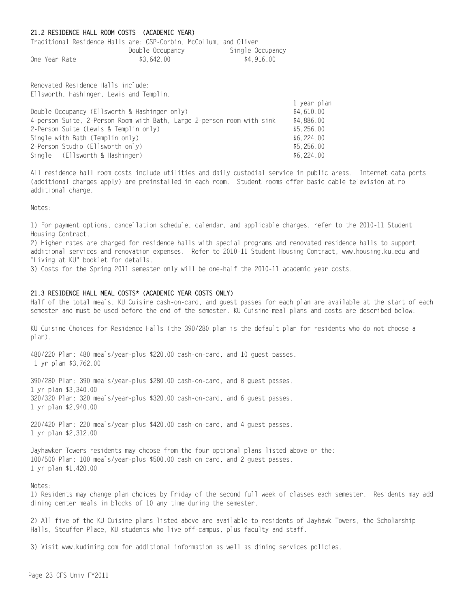## 21.2 RESIDENCE HALL ROOM COSTS (ACADEMIC YEAR)

Traditional Residence Halls are: GSP-Corbin, McCollum, and Oliver. Double Occupancy Single Occupancy One Year Rate \$3,642.00 \$4,916.00

Renovated Residence Halls include: Ellsworth, Hashinger, Lewis and Templin.

|                                                                        | 1 year plan |
|------------------------------------------------------------------------|-------------|
| Double Occupancy (Ellsworth & Hashinger only)                          | \$4,610.00  |
| 4-person Suite, 2-Person Room with Bath, Large 2-person room with sink | \$4,886.00  |
| 2-Person Suite (Lewis & Templin only)                                  | \$5.256.00  |
| Single with Bath (Templin only)                                        | \$6.224.00  |
| 2-Person Studio (Ellsworth only)                                       | \$5.256.00  |
| Single (Ellsworth & Hashinger)                                         | \$6.224.00  |

All residence hall room costs include utilities and daily custodial service in public areas. Internet data ports (additional charges apply) are preinstalled in each room. Student rooms offer basic cable television at no additional charge.

Notes:

1) For payment options, cancellation schedule, calendar, and applicable charges, refer to the 2010-11 Student Housing Contract.

2) Higher rates are charged for residence halls with special programs and renovated residence halls to support additional services and renovation expenses. Refer to 2010-11 Student Housing Contract, www.housing.ku.edu and "Living at KU" booklet for details.

3) Costs for the Spring 2011 semester only will be one-half the 2010-11 academic year costs.

## 21.3 RESIDENCE HALL MEAL COSTS\* (ACADEMIC YEAR COSTS ONLY)

Half of the total meals, KU Cuisine cash-on-card, and guest passes for each plan are available at the start of each semester and must be used before the end of the semester. KU Cuisine meal plans and costs are described below:

KU Cuisine Choices for Residence Halls (the 390/280 plan is the default plan for residents who do not choose a plan).

480/220 Plan: 480 meals/year-plus \$220.00 cash-on-card, and 10 guest passes. 1 yr plan \$3,762.00

390/280 Plan: 390 meals/year-plus \$280.00 cash-on-card, and 8 guest passes. 1 yr plan \$3,340.00 320/320 Plan: 320 meals/year-plus \$320.00 cash-on-card, and 6 guest passes. 1 yr plan \$2,940.00

220/420 Plan: 220 meals/year-plus \$420.00 cash-on-card, and 4 guest passes. 1 yr plan \$2,312.00

Jayhawker Towers residents may choose from the four optional plans listed above or the: 100/500 Plan: 100 meals/year-plus \$500.00 cash on card, and 2 guest passes. 1 yr plan \$1,420.00

Notes:

1) Residents may change plan choices by Friday of the second full week of classes each semester. Residents may add dining center meals in blocks of 10 any time during the semester.

2) All five of the KU Cuisine plans listed above are available to residents of Jayhawk Towers, the Scholarship Halls, Stouffer Place, KU students who live off-campus, plus faculty and staff.

3) Visit www.kudining.com for additional information as well as dining services policies.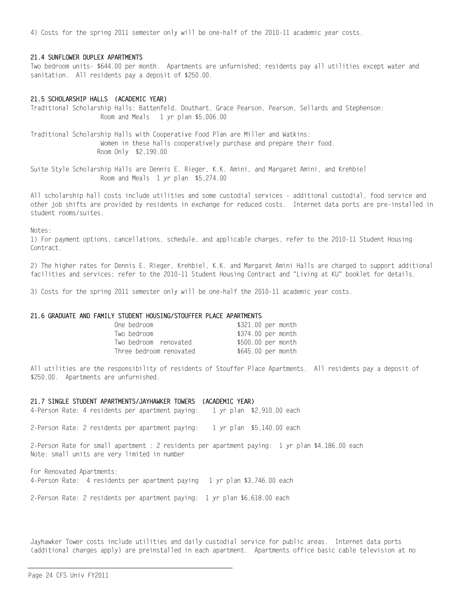4) Costs for the spring 2011 semester only will be one-half of the 2010-11 academic year costs.

#### 21.4 SUNFLOWER DUPLEX APARTMENTS

Two bedroom units- \$644.00 per month. Apartments are unfurnished; residents pay all utilities except water and sanitation. All residents pay a deposit of \$250.00.

#### 21.5 SCHOLARSHIP HALLS (ACADEMIC YEAR)

Traditional Scholarship Halls: Battenfeld, Douthart, Grace Pearson, Pearson, Sellards and Stephenson: Room and Meals 1 yr plan \$5,006.00

Traditional Scholarship Halls with Cooperative Food Plan are Miller and Watkins: Women in these halls cooperatively purchase and prepare their food. Room Only \$2,190.00

Suite Style Scholarship Halls are Dennis E. Rieger, K.K. Amini, and Margaret Amini, and Krehbiel Room and Meals 1 yr plan \$5,274.00

All scholarship hall costs include utilities and some custodial services - additional custodial, food service and other job shifts are provided by residents in exchange for reduced costs. Internet data ports are pre-installed in student rooms/suites.

Notes:

1) For payment options, cancellations, schedule, and applicable charges, refer to the 2010-11 Student Housing Contract.

2) The higher rates for Dennis E. Rieger, Krehbiel, K.K. and Margaret Amini Halls are charged to support additional facilities and services; refer to the 2010-11 Student Housing Contract and "Living at KU" booklet for details.

3) Costs for the spring 2011 semester only will be one-half the 2010-11 academic year costs.

#### 21.6 GRADUATE AND FAMILY STUDENT HOUSING/STOUFFER PLACE APARTMENTS

| One bedroom             | \$321.00 per month |  |
|-------------------------|--------------------|--|
| Two bedroom             | \$374.00 per month |  |
| Two bedroom renovated   | \$500.00 per month |  |
| Three bedroom renovated | \$645.00 per month |  |

All utilities are the responsibility of residents of Stouffer Place Apartments. All residents pay a deposit of \$250.00. Apartments are unfurnished.

21.7 SINGLE STUDENT APARTMENTS/JAYHAWKER TOWERS (ACADEMIC YEAR) 4-Person Rate: 4 residents per apartment paying: 1 yr plan \$2,910.00 each

2-Person Rate: 2 residents per apartment paying: 1 yr plan \$5,140.00 each

2-Person Rate for small apartment : 2 residents per apartment paying: 1 yr plan \$4,186.00 each Note: small units are very limited in number

For Renovated Apartments: 4-Person Rate: 4 residents per apartment paying 1 yr plan \$3,746.00 each

2-Person Rate: 2 residents per apartment paying: 1 yr plan \$6,618.00 each

Jayhawker Tower costs include utilities and daily custodial service for public areas. Internet data ports (additional charges apply) are preinstalled in each apartment. Apartments office basic cable television at no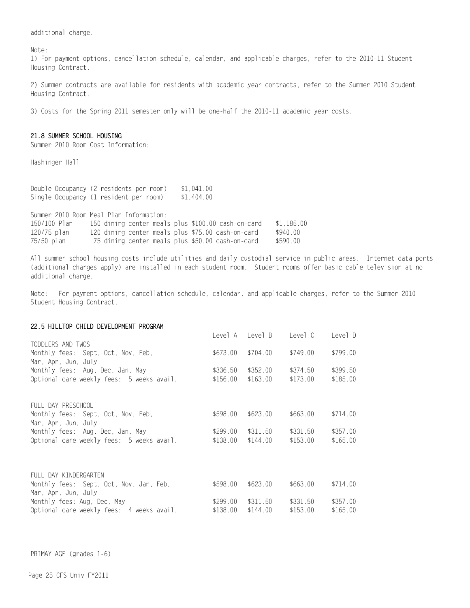additional charge.

Note:

1) For payment options, cancellation schedule, calendar, and applicable charges, refer to the 2010-11 Student Housing Contract.

2) Summer contracts are available for residents with academic year contracts, refer to the Summer 2010 Student Housing Contract.

3) Costs for the Spring 2011 semester only will be one-half the 2010-11 academic year costs.

## 21.8 SUMMER SCHOOL HOUSING

Summer 2010 Room Cost Information:

Hashinger Hall

Double Occupancy (2 residents per room) \$1,041.00 Single Occupancy (1 resident per room) \$1,404.00

Summer 2010 Room Meal Plan Information:

| 150/100 Plan |  |  |  | 150 dining center meals plus \$100.00 cash-on-card | \$1.185.00 |
|--------------|--|--|--|----------------------------------------------------|------------|
| 120/75 plan  |  |  |  | 120 dining center meals plus \$75.00 cash-on-card  | \$940.00   |
| 75/50 plan   |  |  |  | 75 dining center meals plus \$50.00 cash-on-card   | \$590.00   |

All summer school housing costs include utilities and daily custodial service in public areas. Internet data ports (additional charges apply) are installed in each student room. Student rooms offer basic cable television at no additional charge.

Note: For payment options, cancellation schedule, calendar, and applicable charges, refer to the Summer 2010 Student Housing Contract.

#### 22.5 HILLTOP CHILD DEVELOPMENT PROGRAM

|                                           |          | Level A Level B | Level C  | Level D  |
|-------------------------------------------|----------|-----------------|----------|----------|
| TODDLERS AND TWOS                         |          |                 |          |          |
| Monthly fees: Sept, Oct, Nov, Feb,        | \$673.00 | \$704.00        | \$749.00 | \$799.00 |
| Mar, Apr, Jun, July                       |          |                 |          |          |
| Monthly fees: Aug. Dec. Jan. May          | \$336.50 | \$352.00        | \$374.50 | \$399.50 |
| Optional care weekly fees: 5 weeks avail. | \$156.00 | \$163.00        | \$173.00 | \$185.00 |
|                                           |          |                 |          |          |
| FULL DAY PRESCHOOL                        |          |                 |          |          |
| Monthly fees: Sept, Oct, Nov, Feb,        | \$598.00 | \$623.00        | \$663.00 | \$714.00 |
| Mar, Apr, Jun, July                       |          |                 |          |          |
| Monthly fees: Aug, Dec, Jan, May          | \$299.00 | \$311.50        | \$331.50 | \$357.00 |
| Optional care weekly fees: 5 weeks avail. | \$138.00 | \$144.00        | \$153.00 | \$165.00 |
|                                           |          |                 |          |          |
|                                           |          |                 |          |          |
| FULL DAY KINDERGARTEN                     |          |                 |          |          |
| Monthly fees: Sept, Oct, Nov, Jan, Feb,   | \$598.00 | \$623.00        | \$663.00 | \$714.00 |
| Mar, Apr, Jun, July                       |          |                 |          |          |
| Monthly fees: Aug, Dec, May               | \$299.00 | \$311.50        | \$331.50 | \$357.00 |
| Optional care weekly fees: 4 weeks avail. | \$138.00 | \$144.00        | \$153.00 | \$165.00 |
|                                           |          |                 |          |          |

PRIMAY AGE (grades 1-6)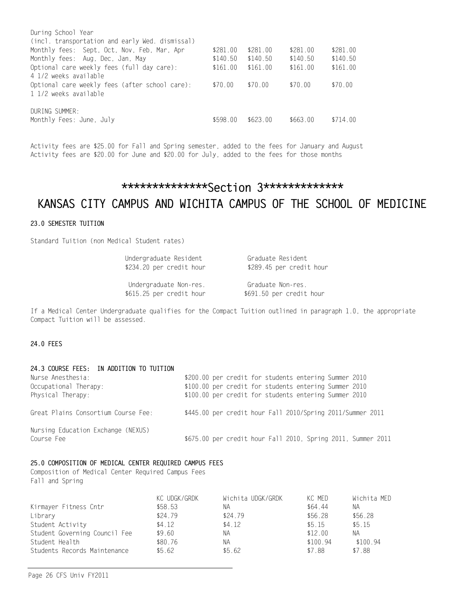| During School Year                              |          |          |          |          |
|-------------------------------------------------|----------|----------|----------|----------|
| (incl. transportation and early Wed. dismissal) |          |          |          |          |
| Monthly fees: Sept. Oct. Nov. Feb. Mar. Apr     | \$281.00 | \$281.00 | \$281.00 | \$281.00 |
| Monthly fees: Aug. Dec. Jan. May                | \$140.50 | \$140.50 | \$140.50 | \$140.50 |
| Optional care weekly fees (full day care):      | \$161.00 | \$161.00 | \$161.00 | \$161.00 |
| 4 1/2 weeks available                           |          |          |          |          |
| Optional care weekly fees (after school care):  | \$70.00  | \$70.00  | \$70.00  | \$70.00  |
| 1 1/2 weeks available                           |          |          |          |          |
|                                                 |          |          |          |          |
| DURING SUMMER:                                  |          |          |          |          |
| Monthly Fees: June, July                        | \$598.00 | \$623.00 | \$663.00 | \$714.00 |
|                                                 |          |          |          |          |

Activity fees are \$25.00 for Fall and Spring semester, added to the fees for January and August Activity fees are \$20.00 for June and \$20.00 for July, added to the fees for those months

# \*\*\*\*\*\*\*\*\*\*\*\*\*\*Section 3\*\*\*\*\*\*\*\*\*\*\*\*\* KANSAS CITY CAMPUS AND WICHITA CAMPUS OF THE SCHOOL OF MEDICINE

# 23.0 SEMESTER TUITION

Standard Tuition (non Medical Student rates)

| Undergraduate Resident   | Graduate Resident        |
|--------------------------|--------------------------|
| \$234.20 per credit hour | \$289.45 per credit hour |

 Undergraduate Non-res. Graduate Non-res. \$615.25 per credit hour \$691.50 per credit hour

If a Medical Center Undergraduate qualifies for the Compact Tuition outlined in paragraph 1.0, the appropriate Compact Tuition will be assessed.

# 24.0 FEES

| 24.3 COURSE FEES: IN ADDITION TO TUITION<br>Nurse Anesthesia:<br>Occupational Therapy:<br>Physical Therapy: | \$200.00 per credit for students entering Summer 2010<br>\$100.00 per credit for students entering Summer 2010<br>\$100.00 per credit for students entering Summer 2010 |  |
|-------------------------------------------------------------------------------------------------------------|-------------------------------------------------------------------------------------------------------------------------------------------------------------------------|--|
| Great Plains Consortium Course Fee:                                                                         | \$445.00 per credit hour Fall 2010/Spring 2011/Summer 2011                                                                                                              |  |
| Nursing Education Exchange (NEXUS)<br>Course Fee                                                            | \$675.00 per credit hour Fall 2010, Spring 2011, Summer 2011                                                                                                            |  |

# 25.0 COMPOSITION OF MEDICAL CENTER REQUIRED CAMPUS FEES

Composition of Medical Center Required Campus Fees Fall and Spring

|                               | KC UDGK/GRDK | Wichita UDGK/GRDK | KC MED   | Wichita MED |
|-------------------------------|--------------|-------------------|----------|-------------|
| Kirmayer Fitness Cntr         | \$58.53      | ΝA                | \$64.44  | NA.         |
| Library                       | \$24.79      | \$24.79           | \$56.28  | \$56.28     |
| Student Activity              | \$4.12       | \$4.12            | \$5.15   | \$5.15      |
| Student Governing Council Fee | \$9.60       | ΝA                | \$12,00  | ΝA          |
| Student Health                | \$80.76      | <b>NA</b>         | \$100.94 | \$100.94    |
| Students Records Maintenance  | \$5662       | \$5.62            | \$788    | \$7.88      |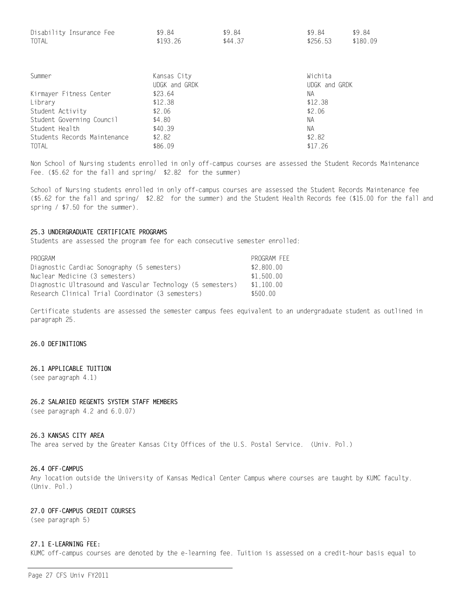| Disability Insurance Fee | \$9.84   | \$9.84  | \$9.84   | \$9.84   |
|--------------------------|----------|---------|----------|----------|
| <b>TOTAL</b>             | \$193.26 | \$44.37 | \$256.53 | \$180.09 |

| Summer                       | Kansas City   | Wichita       |
|------------------------------|---------------|---------------|
|                              | UDGK and GRDK | UDGK and GRDK |
| Kirmayer Fitness Center      | \$23.64       | NА            |
| Library                      | \$12.38       | \$12.38       |
| Student Activity             | \$2.06        | \$2.06        |
| Student Governing Council    | \$4.80        | NА            |
| Student Health               | \$40.39       | NА            |
| Students Records Maintenance | \$2.82        | \$2.82        |
| TOTAL                        | \$86.09       | \$17.26       |

Non School of Nursing students enrolled in only off-campus courses are assessed the Student Records Maintenance Fee. (\$5.62 for the fall and spring/ \$2.82 for the summer)

School of Nursing students enrolled in only off-campus courses are assessed the Student Records Maintenance fee (\$5.62 for the fall and spring/ \$2.82 for the summer) and the Student Health Records fee (\$15.00 for the fall and spring / \$7.50 for the summer).

## 25.3 UNDERGRADUATE CERTIFICATE PROGRAMS

Students are assessed the program fee for each consecutive semester enrolled:

| PROGRAM                                                     | PROGRAM FEE |
|-------------------------------------------------------------|-------------|
| Diagnostic Cardiac Sonography (5 semesters)                 | \$2,800.00  |
| Nuclear Medicine (3 semesters)                              | \$1.500.00  |
| Diagnostic Ultrasound and Vascular Technology (5 semesters) | \$1.100.00  |
| Research Clinical Trial Coordinator (3 semesters)           | \$500.00    |

Certificate students are assessed the semester campus fees equivalent to an undergraduate student as outlined in paragraph 25.

# 26.0 DEFINITIONS

### 26.1 APPLICABLE TUITION

(see paragraph 4.1)

#### 26.2 SALARIED REGENTS SYSTEM STAFF MEMBERS

(see paragraph 4.2 and 6.0.07)

#### 26.3 KANSAS CITY AREA

The area served by the Greater Kansas City Offices of the U.S. Postal Service. (Univ. Pol.)

#### 26.4 OFF-CAMPUS

Any location outside the University of Kansas Medical Center Campus where courses are taught by KUMC faculty. (Univ. Pol.)

#### 27.0 OFF-CAMPUS CREDIT COURSES

(see paragraph 5)

#### 27.1 E-LEARNING FEE:

KUMC off-campus courses are denoted by the e-learning fee. Tuition is assessed on a credit-hour basis equal to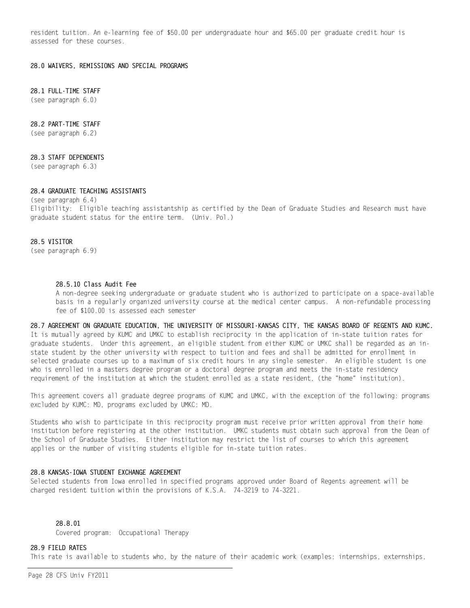resident tuition. An e-learning fee of \$50.00 per undergraduate hour and \$65.00 per graduate credit hour is assessed for these courses.

28.0 WAIVERS, REMISSIONS AND SPECIAL PROGRAMS

# 28.1 FULL-TIME STAFF

(see paragraph 6.0)

## 28.2 PART-TIME STAFF

(see paragraph 6.2)

## 28.3 STAFF DEPENDENTS

(see paragraph 6.3)

## 28.4 GRADUATE TEACHING ASSISTANTS

(see paragraph 6.4) Eligibility: Eligible teaching assistantship as certified by the Dean of Graduate Studies and Research must have graduate student status for the entire term. (Univ. Pol.)

#### 28.5 VISITOR

(see paragraph 6.9)

## 28.5.10 Class Audit Fee

A non-degree seeking undergraduate or graduate student who is authorized to participate on a space-available basis in a regularly organized university course at the medical center campus. A non-refundable processing fee of \$100.00 is assessed each semester

28.7 AGREEMENT ON GRADUATE EDUCATION, THE UNIVERSITY OF MISSOURI-KANSAS CITY, THE KANSAS BOARD OF REGENTS AND KUMC. It is mutually agreed by KUMC and UMKC to establish reciprocity in the application of in-state tuition rates for graduate students. Under this agreement, an eligible student from either KUMC or UMKC shall be regarded as an instate student by the other university with respect to tuition and fees and shall be admitted for enrollment in selected graduate courses up to a maximum of six credit hours in any single semester. An eligible student is one who is enrolled in a masters degree program or a doctoral degree program and meets the in-state residency requirement of the institution at which the student enrolled as a state resident, (the "home" institution).

This agreement covers all graduate degree programs of KUMC and UMKC, with the exception of the following: programs excluded by KUMC: MD, programs excluded by UMKC: MD.

Students who wish to participate in this reciprocity program must receive prior written approval from their home institution before registering at the other institution. UMKC students must obtain such approval from the Dean of the School of Graduate Studies. Either institution may restrict the list of courses to which this agreement applies or the number of visiting students eligible for in-state tuition rates.

## 28.8 KANSAS-IOWA STUDENT EXCHANGE AGREEMENT

Selected students from Iowa enrolled in specified programs approved under Board of Regents agreement will be charged resident tuition within the provisions of K.S.A. 74-3219 to 74-3221.

# 28.8.01

Covered program: Occupational Therapy

#### 28.9 FIELD RATES

This rate is available to students who, by the nature of their academic work (examples: internships, externships,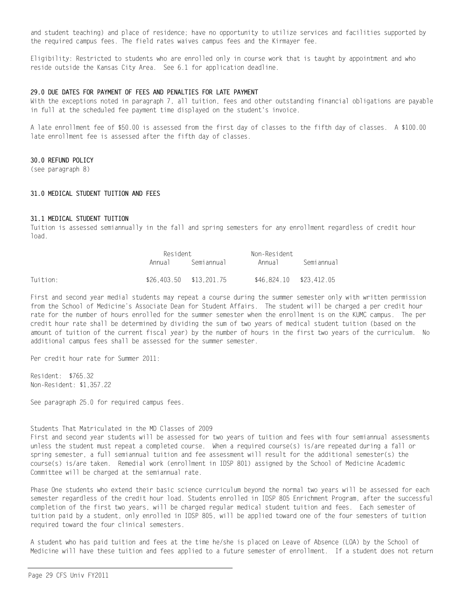and student teaching) and place of residence; have no opportunity to utilize services and facilities supported by the required campus fees. The field rates waives campus fees and the Kirmayer fee.

Eligibility: Restricted to students who are enrolled only in course work that is taught by appointment and who reside outside the Kansas City Area. See 6.1 for application deadline.

#### 29.0 DUE DATES FOR PAYMENT OF FEES AND PENALTIES FOR LATE PAYMENT

With the exceptions noted in paragraph 7, all tuition, fees and other outstanding financial obligations are payable in full at the scheduled fee payment time displayed on the student's invoice.

A late enrollment fee of \$50.00 is assessed from the first day of classes to the fifth day of classes. A \$100.00 late enrollment fee is assessed after the fifth day of classes.

## 30.0 REFUND POLICY

(see paragraph 8)

#### 31.0 MEDICAL STUDENT TUITION AND FEES

#### 31.1 MEDICAL STUDENT TUITION

Tuition is assessed semiannually in the fall and spring semesters for any enrollment regardless of credit hour load.

|          | Resident                |            | Non-Resident              |            |  |
|----------|-------------------------|------------|---------------------------|------------|--|
|          | Annua I                 | Semiannual | Annua I                   | Semiannual |  |
| Tuition: | \$26.403.50 \$13.201.75 |            | $$46.824.10$ $$23.412.05$ |            |  |

First and second year medial students may repeat a course during the summer semester only with written permission from the School of Medicine's Associate Dean for Student Affairs. The student will be charged a per credit hour rate for the number of hours enrolled for the summer semester when the enrollment is on the KUMC campus. The per credit hour rate shall be determined by dividing the sum of two years of medical student tuition (based on the amount of tuition of the current fiscal year) by the number of hours in the first two years of the curriculum. No additional campus fees shall be assessed for the summer semester.

Per credit hour rate for Summer 2011:

Resident: \$765.32 Non-Resident: \$1,357.22

See paragraph 25.0 for required campus fees.

#### Students That Matriculated in the MD Classes of 2009

First and second year students will be assessed for two years of tuition and fees with four semiannual assessments unless the student must repeat a completed course. When a required course(s) is/are repeated during a fall or spring semester, a full semiannual tuition and fee assessment will result for the additional semester(s) the course(s) is/are taken. Remedial work (enrollment in IDSP 801) assigned by the School of Medicine Academic Committee will be charged at the semiannual rate.

Phase One students who extend their basic science curriculum beyond the normal two years will be assessed for each semester regardless of the credit hour load. Students enrolled in IDSP 805 Enrichment Program, after the successful completion of the first two years, will be charged regular medical student tuition and fees. Each semester of tuition paid by a student, only enrolled in IDSP 805, will be applied toward one of the four semesters of tuition required toward the four clinical semesters.

A student who has paid tuition and fees at the time he/she is placed on Leave of Absence (LOA) by the School of Medicine will have these tuition and fees applied to a future semester of enrollment. If a student does not return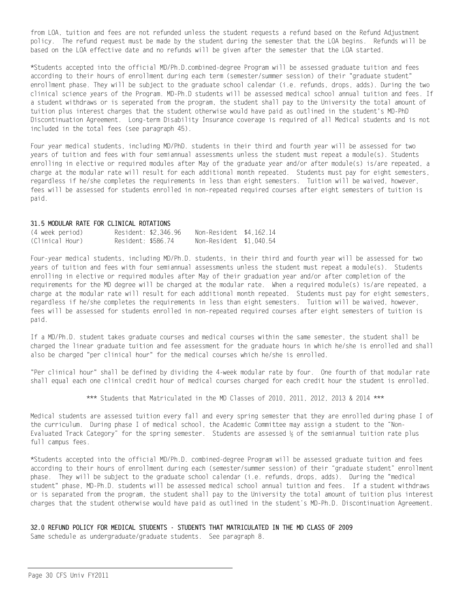from LOA, tuition and fees are not refunded unless the student requests a refund based on the Refund Adjustment policy. The refund request must be made by the student during the semester that the LOA begins. Refunds will be based on the LOA effective date and no refunds will be given after the semester that the LOA started.

\*Students accepted into the official MD/Ph.D.combined-degree Program will be assessed graduate tuition and fees according to their hours of enrollment during each term (semester/summer session) of their "graduate student" enrollment phase. They will be subject to the graduate school calendar (i.e. refunds, drops, adds). During the two clinical science years of the Program. MD-Ph.D students will be assessed medical school annual tuition and fees. If a student withdraws or is seperated from the program, the student shall pay to the University the total amount of tuition plus interest charges that the student otherwise would have paid as outlined in the student's MD-PhD Discontinuation Agreement. Long-term Disability Insurance coverage is required of all Medical students and is not included in the total fees (see paragraph 45).

Four year medical students, including MD/PhD. students in their third and fourth year will be assessed for two years of tuition and fees with four semiannual assessments unless the student must repeat a module(s). Students enrolling in elective or required modules after May of the graduate year and/or after module(s) is/are repeated, a charge at the modular rate will result for each additional month repeated. Students must pay for eight semesters, regardless if he/she completes the requirements in less than eight semesters. Tuition will be waived, however, fees will be assessed for students enrolled in non-repeated required courses after eight semesters of tuition is paid.

#### 31.5 MODULAR RATE FOR CLINICAL ROTATIONS

| (4 week period) |                    | Resident: \$2.346.96 | Non-Resident \$4.162.14 |  |
|-----------------|--------------------|----------------------|-------------------------|--|
| (Clinical Hour) | Resident: \$586.74 |                      | Non-Resident \$1,040.54 |  |

Four-year medical students, including MD/Ph.D. students, in their third and fourth year will be assessed for two years of tuition and fees with four semiannual assessments unless the student must repeat a module(s). Students enrolling in elective or required modules after May of their graduation year and/or after completion of the requirements for the MD degree will be charged at the modular rate. When a required module(s) is/are repeated, a charge at the modular rate will result for each additional month repeated. Students must pay for eight semesters, regardless if he/she completes the requirements in less than eight semesters. Tuition will be waived, however, fees will be assessed for students enrolled in non-repeated required courses after eight semesters of tuition is paid.

If a MD/Ph.D. student takes graduate courses and medical courses within the same semester, the student shall be charged the linear graduate tuition and fee assessment for the graduate hours in which he/she is enrolled and shall also be charged "per clinical hour" for the medical courses which he/she is enrolled.

"Per clinical hour" shall be defined by dividing the 4-week modular rate by four. One fourth of that modular rate shall equal each one clinical credit hour of medical courses charged for each credit hour the student is enrolled.

\*\*\* Students that Matriculated in the MD Classes of 2010, 2011, 2012, 2013 & 2014 \*\*\*

Medical students are assessed tuition every fall and every spring semester that they are enrolled during phase I of the curriculum. During phase I of medical school, the Academic Committee may assign a student to the "Non-Evaluated Track Category" for the spring semester. Students are assessed ½ of the semiannual tuition rate plus full campus fees.

\*Students accepted into the official MD/Ph.D. combined-degree Program will be assessed graduate tuition and fees according to their hours of enrollment during each (semester/summer session) of their "graduate student" enrollment phase. They will be subject to the graduate school calendar (i.e. refunds, drops, adds). During the "medical student" phase, MD-Ph.D. students will be assessed medical school annual tuition and fees. If a student withdraws or is separated from the program, the student shall pay to the University the total amount of tuition plus interest charges that the student otherwise would have paid as outlined in the student's MD-Ph.D. Discontinuation Agreement.

# 32.0 REFUND POLICY FOR MEDICAL STUDENTS - STUDENTS THAT MATRICULATED IN THE MD CLASS OF 2009

Same schedule as undergraduate/graduate students. See paragraph 8.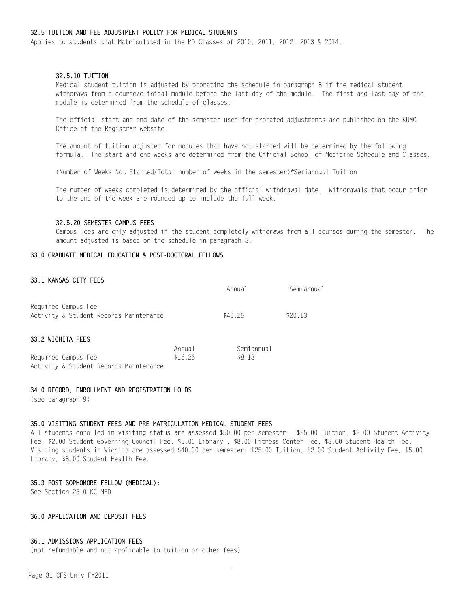## 32.5 TUITION AND FEE ADJUSTMENT POLICY FOR MEDICAL STUDENTS

Applies to students that Matriculated in the MD Classes of 2010, 2011, 2012, 2013 & 2014.

# 32.5.10 TUITION

Medical student tuition is adjusted by prorating the schedule in paragraph 8 if the medical student withdraws from a course/clinical module before the last day of the module. The first and last day of the module is determined from the schedule of classes.

The official start and end date of the semester used for prorated adjustments are published on the KUMC Office of the Registrar website.

The amount of tuition adjusted for modules that have not started will be determined by the following formula. The start and end weeks are determined from the Official School of Medicine Schedule and Classes.

(Number of Weeks Not Started/Total number of weeks in the semester)\*Semiannual Tuition

The number of weeks completed is determined by the official withdrawal date. Withdrawals that occur prior to the end of the week are rounded up to include the full week.

#### 32.5.20 SEMESTER CAMPUS FEES

Campus Fees are only adjusted if the student completely withdraws from all courses during the semester. The amount adjusted is based on the schedule in paragraph 8.

#### 33.0 GRADUATE MEDICAL EDUCATION & POST-DOCTORAL FELLOWS

## 33.1 KANSAS CITY FEES

|                                                               |                   | Annual               | Semiannual |
|---------------------------------------------------------------|-------------------|----------------------|------------|
| Required Campus Fee<br>Activity & Student Records Maintenance |                   | \$40.26              | \$20.13    |
| 33.2 WICHITA FEES                                             |                   |                      |            |
| Required Campus Fee<br>Activity & Student Records Maintenance | Annual<br>\$16.26 | Semiannual<br>\$8.13 |            |

#### 34.0 RECORD, ENROLLMENT AND REGISTRATION HOLDS

(see paragraph 9)

#### 35.0 VISITING STUDENT FEES AND PRE-MATRICULATION MEDICAL STUDENT FEES

All students enrolled in visiting status are assessed \$50.00 per semester: \$25.00 Tuition, \$2.00 Student Activity Fee, \$2.00 Student Governing Council Fee, \$5.00 Library , \$8.00 Fitness Center Fee, \$8.00 Student Health Fee. Visiting students in Wichita are assessed \$40.00 per semester: \$25.00 Tuition, \$2.00 Student Activity Fee, \$5.00 Library, \$8.00 Student Health Fee.

#### 35.3 POST SOPHOMORE FELLOW (MEDICAL):

See Section 25.0 KC MED.

# 36.0 APPLICATION AND DEPOSIT FEES

#### 36.1 ADMISSIONS APPLICATION FEES

(not refundable and not applicable to tuition or other fees)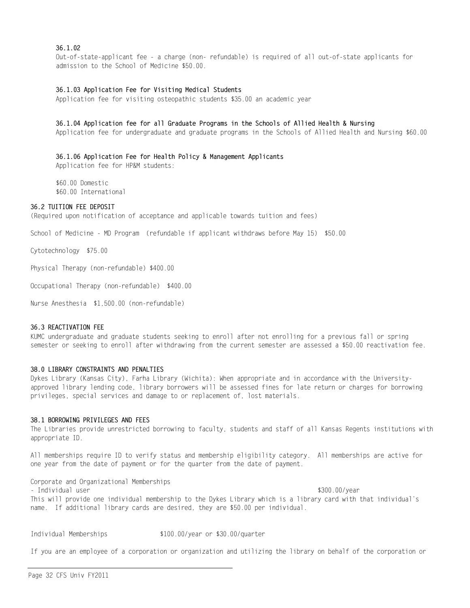## 36.1.02

Out-of-state-applicant fee - a charge (non- refundable) is required of all out-of-state applicants for admission to the School of Medicine \$50.00.

## 36.1.03 Application Fee for Visiting Medical Students

Application fee for visiting osteopathic students \$35.00 an academic year

#### 36.1.04 Application fee for all Graduate Programs in the Schools of Allied Health & Nursing

Application fee for undergraduate and graduate programs in the Schools of Allied Health and Nursing \$60.00

## 36.1.06 Application Fee for Health Policy & Management Applicants

Application fee for HP&M students:

\$60.00 Domestic \$60.00 International

# 36.2 TUITION FEE DEPOSIT

(Required upon notification of acceptance and applicable towards tuition and fees)

School of Medicine - MD Program (refundable if applicant withdraws before May 15) \$50.00

Cytotechnology \$75.00

Physical Therapy (non-refundable) \$400.00

Occupational Therapy (non-refundable) \$400.00

Nurse Anesthesia \$1,500.00 (non-refundable)

## 36.3 REACTIVATION FEE

KUMC undergraduate and graduate students seeking to enroll after not enrolling for a previous fall or spring semester or seeking to enroll after withdrawing from the current semester are assessed a \$50.00 reactivation fee.

## 38.0 LIBRARY CONSTRAINTS AND PENALTIES

Dykes Library (Kansas City), Farha Library (Wichita): When appropriate and in accordance with the Universityapproved library lending code, library borrowers will be assessed fines for late return or charges for borrowing privileges, special services and damage to or replacement of, lost materials.

## 38.1 BORROWING PRIVILEGES AND FEES

The Libraries provide unrestricted borrowing to faculty, students and staff of all Kansas Regents institutions with appropriate ID.

All memberships require ID to verify status and membership eligibility category. All memberships are active for one year from the date of payment or for the quarter from the date of payment.

Corporate and Organizational Memberships - Individual user  $$300.00/year$ This will provide one individual membership to the Dykes Library which is a library card with that individual's name. If additional library cards are desired, they are \$50.00 per individual.

Individual Memberships \$100.00/year or \$30.00/quarter

If you are an employee of a corporation or organization and utilizing the library on behalf of the corporation or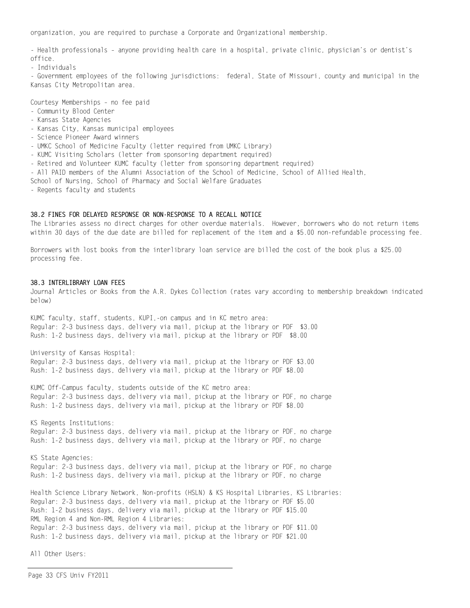organization, you are required to purchase a Corporate and Organizational membership.

- Health professionals – anyone providing health care in a hospital, private clinic, physician's or dentist's office.

- Individuals

- Government employees of the following jurisdictions: federal, State of Missouri, county and municipal in the Kansas City Metropolitan area.

Courtesy Memberships – no fee paid

- Community Blood Center
- Kansas State Agencies
- Kansas City, Kansas municipal employees
- Science Pioneer Award winners
- UMKC School of Medicine Faculty (letter required from UMKC Library)
- KUMC Visiting Scholars (letter from sponsoring department required)
- Retired and Volunteer KUMC faculty (letter from sponsoring department required)
- All PAID members of the Alumni Association of the School of Medicine, School of Allied Health,

School of Nursing, School of Pharmacy and Social Welfare Graduates

- Regents faculty and students

#### 38.2 FINES FOR DELAYED RESPONSE OR NON-RESPONSE TO A RECALL NOTICE

The Libraries assess no direct charges for other overdue materials. However, borrowers who do not return items within 30 days of the due date are billed for replacement of the item and a \$5.00 non-refundable processing fee.

Borrowers with lost books from the interlibrary loan service are billed the cost of the book plus a \$25.00 processing fee.

### 38.3 INTERLIBRARY LOAN FEES

Journal Articles or Books from the A.R. Dykes Collection (rates vary according to membership breakdown indicated below)

KUMC faculty, staff, students, KUPI,-on campus and in KC metro area: Regular: 2-3 business days, delivery via mail, pickup at the library or PDF \$3.00 Rush: 1-2 business days, delivery via mail, pickup at the library or PDF \$8.00

University of Kansas Hospital:

Regular: 2-3 business days, delivery via mail, pickup at the library or PDF \$3.00 Rush: 1-2 business days, delivery via mail, pickup at the library or PDF \$8.00

KUMC Off-Campus faculty, students outside of the KC metro area: Regular: 2-3 business days, delivery via mail, pickup at the library or PDF, no charge Rush: 1-2 business days, delivery via mail, pickup at the library or PDF \$8.00

KS Regents Institutions: Regular: 2-3 business days, delivery via mail, pickup at the library or PDF, no charge Rush: 1-2 business days, delivery via mail, pickup at the library or PDF, no charge

KS State Agencies: Regular: 2-3 business days, delivery via mail, pickup at the library or PDF, no charge Rush: 1-2 business days, delivery via mail, pickup at the library or PDF, no charge

Health Science Library Network, Non-profits (HSLN) & KS Hospital Libraries, KS Libraries: Regular: 2-3 business days, delivery via mail, pickup at the library or PDF \$5.00 Rush: 1-2 business days, delivery via mail, pickup at the library or PDF \$15.00 RML Region 4 and Non-RML Region 4 Libraries: Regular: 2-3 business days, delivery via mail, pickup at the library or PDF \$11.00 Rush: 1-2 business days, delivery via mail, pickup at the library or PDF \$21.00

All Other Users: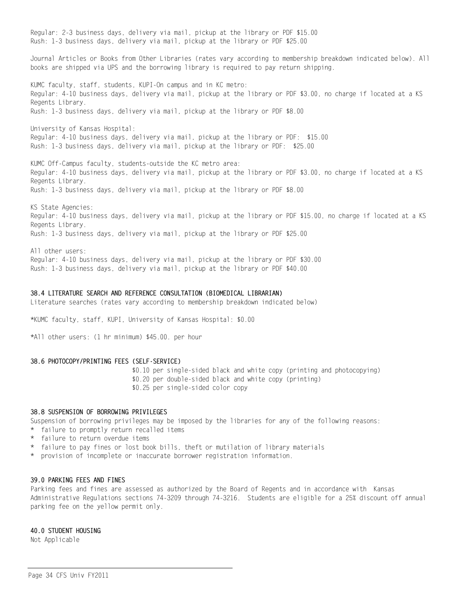Regular: 2-3 business days, delivery via mail, pickup at the library or PDF \$15.00 Rush: 1-3 business days, delivery via mail, pickup at the library or PDF \$25.00 Journal Articles or Books from Other Libraries (rates vary according to membership breakdown indicated below). All books are shipped via UPS and the borrowing library is required to pay return shipping. KUMC faculty, staff, students, KUPI-On campus and in KC metro: Regular: 4-10 business days, delivery via mail, pickup at the library or PDF \$3.00, no charge if located at a KS Regents Library. Rush: 1-3 business days, delivery via mail, pickup at the library or PDF \$8.00 University of Kansas Hospital: Regular: 4-10 business days, delivery via mail, pickup at the library or PDF: \$15.00 Rush: 1-3 business days, delivery via mail, pickup at the library or PDF: \$25.00 KUMC Off-Campus faculty, students-outside the KC metro area: Regular: 4-10 business days, delivery via mail, pickup at the library or PDF \$3.00, no charge if located at a KS Regents Library. Rush: 1-3 business days, delivery via mail, pickup at the library or PDF \$8.00 KS State Agencies: Regular: 4-10 business days, delivery via mail, pickup at the library or PDF \$15.00, no charge if located at a KS Regents Library. Rush: 1-3 business days, delivery via mail, pickup at the library or PDF \$25.00 All other users:

Regular: 4-10 business days, delivery via mail, pickup at the library or PDF \$30.00 Rush: 1-3 business days, delivery via mail, pickup at the library or PDF \$40.00

#### 38.4 LITERATURE SEARCH AND REFERENCE CONSULTATION (BIOMEDICAL LIBRARIAN)

Literature searches (rates vary according to membership breakdown indicated below)

\*KUMC faculty, staff, KUPI, University of Kansas Hospital: \$0.00

\*All other users: (1 hr minimum) \$45.00. per hour

#### 38.6 PHOTOCOPY/PRINTING FEES (SELF-SERVICE)

 \$0.10 per single-sided black and white copy (printing and photocopying) \$0.20 per double-sided black and white copy (printing) \$0.25 per single-sided color copy

#### 38.8 SUSPENSION OF BORROWING PRIVILEGES

Suspension of borrowing privileges may be imposed by the libraries for any of the following reasons:

- \* failure to promptly return recalled items
- \* failure to return overdue items
- \* failure to pay fines or lost book bills, theft or mutilation of library materials
- \* provision of incomplete or inaccurate borrower registration information.

#### 39.0 PARKING FEES AND FINES

Parking fees and fines are assessed as authorized by the Board of Regents and in accordance with Kansas Administrative Regulations sections 74-3209 through 74-3216. Students are eligible for a 25% discount off annual parking fee on the yellow permit only.

#### 40.0 STUDENT HOUSING

Not Applicable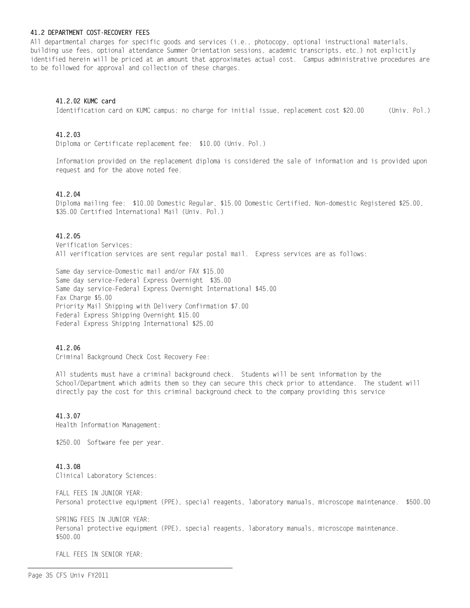#### 41.2 DEPARTMENT COST-RECOVERY FEES

All departmental charges for specific goods and services (i.e., photocopy, optional instructional materials, building use fees, optional attendance Summer Orientation sessions, academic transcripts, etc.) not explicitly identified herein will be priced at an amount that approximates actual cost. Campus administrative procedures are to be followed for approval and collection of these charges.

#### 41.2.02 KUMC card

Identification card on KUMC campus: no charge for initial issue, replacement cost \$20.00 (Univ. Pol.)

## 41.2.03

Diploma or Certificate replacement fee: \$10.00 (Univ. Pol.)

Information provided on the replacement diploma is considered the sale of information and is provided upon request and for the above noted fee.

## 41.2.04

Diploma mailing fee: \$10.00 Domestic Regular, \$15.00 Domestic Certified, Non-domestic Registered \$25.00, \$35.00 Certified International Mail (Univ. Pol.)

## 41.2.05

Verification Services: All verification services are sent regular postal mail. Express services are as follows:

Same day service-Domestic mail and/or FAX \$15.00 Same day service-Federal Express Overnight \$35.00 Same day service-Federal Express Overnight International \$45.00 Fax Charge \$5.00 Priority Mail Shipping with Delivery Confirmation \$7.00 Federal Express Shipping Overnight \$15.00 Federal Express Shipping International \$25.00

#### 41.2.06

Criminal Background Check Cost Recovery Fee:

All students must have a criminal background check. Students will be sent information by the School/Department which admits them so they can secure this check prior to attendance. The student will directly pay the cost for this criminal background check to the company providing this service

## 41.3.07

Health Information Management:

\$250.00 Software fee per year.

#### 41.3.08

Clinical Laboratory Sciences:

FALL FEES IN JUNIOR YEAR: Personal protective equipment (PPE), special reagents, laboratory manuals, microscope maintenance. \$500.00

SPRING FEES IN JUNIOR YEAR: Personal protective equipment (PPE), special reagents, laboratory manuals, microscope maintenance. \$500.00

FALL FEES IN SENIOR YEAR: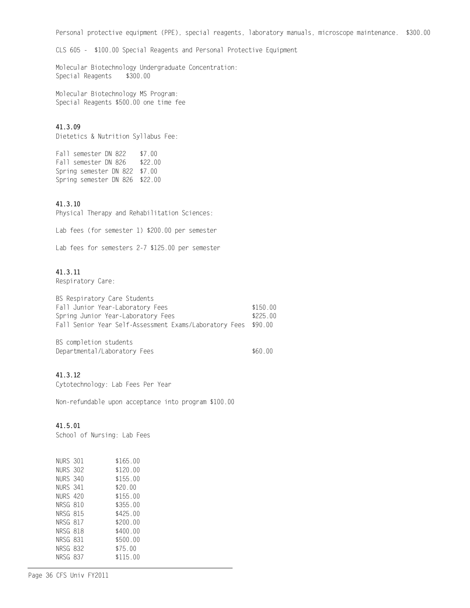Personal protective equipment (PPE), special reagents, laboratory manuals, microscope maintenance. \$300.00

CLS 605 - \$100.00 Special Reagents and Personal Protective Equipment

Molecular Biotechnology Undergraduate Concentration:<br>Special Reagents \$300.00 Special Reagents

Molecular Biotechnology MS Program: Special Reagents \$500.00 one time fee

# 41.3.09

Dietetics & Nutrition Syllabus Fee:

Fall semester DN 822 \$7.00<br>Fall semester DN 826 \$22.00 Fall semester DN 826 Spring semester DN 822 \$7.00 Spring semester DN 826 \$22.00

## 41.3.10

Physical Therapy and Rehabilitation Sciences:

Lab fees (for semester 1) \$200.00 per semester

Lab fees for semesters 2-7 \$125.00 per semester

# 41.3.11

Respiratory Care:

| BS Respiratory Care Students                                   |          |
|----------------------------------------------------------------|----------|
| Fall Junior Year-Laboratory Fees                               | \$150.00 |
| Spring Junior Year-Laboratory Fees                             | \$225.00 |
| Fall Senior Year Self-Assessment Exams/Laboratory Fees \$90.00 |          |

BS completion students Departmental/Laboratory Fees \$60.00

# 41.3.12

Cytotechnology: Lab Fees Per Year

Non-refundable upon acceptance into program \$100.00

# 41.5.01

School of Nursing: Lab Fees

| NURS 301 | \$165 00 |
|----------|----------|
| NURS 302 | \$120.00 |
| NURS 340 | \$155.00 |
| NURS 341 | \$20.00  |
| NURS 420 | \$155 00 |
| NRSG 810 | \$355.00 |
| NRSG 815 | \$425.00 |
| NRSG 817 | \$200.00 |
| NRSG 818 | \$400.00 |
| NRSG 831 | \$500 00 |
| NRSG 832 | \$75 00  |
| NRSG 837 | \$115 00 |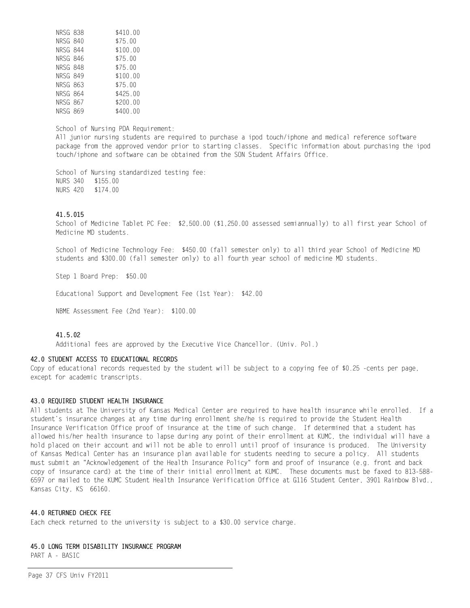| NRSG 838        | \$410.00 |
|-----------------|----------|
| NRSG 840        | \$75.00  |
| NRSG 844        | \$100.00 |
| NRSG 846        | \$75.00  |
| <b>NRSG 848</b> | \$75.00  |
| <b>NRSG 849</b> | \$100.00 |
| NRSG 863        | \$75.00  |
| NRSG 864        | \$425.00 |
| NRSG 867        | \$200.00 |
| NRSG 869        | \$400.00 |

School of Nursing PDA Requirement:

All junior nursing students are required to purchase a ipod touch/iphone and medical reference software package from the approved vendor prior to starting classes. Specific information about purchasing the ipod touch/iphone and software can be obtained from the SON Student Affairs Office.

School of Nursing standardized testing fee: NURS 340 \$155.00 NURS 420 \$174.00

## 41.5.015

School of Medicine Tablet PC Fee: \$2,500.00 (\$1,250.00 assessed semiannually) to all first year School of Medicine MD students.

School of Medicine Technology Fee: \$450.00 (fall semester only) to all third year School of Medicine MD students and \$300.00 (fall semester only) to all fourth year school of medicine MD students.

Step 1 Board Prep: \$50.00

Educational Support and Development Fee (1st Year): \$42.00

NBME Assessment Fee (2nd Year): \$100.00

#### 41.5.02

Additional fees are approved by the Executive Vice Chancellor. (Univ. Pol.)

## 42.0 STUDENT ACCESS TO EDUCATIONAL RECORDS

Copy of educational records requested by the student will be subject to a copying fee of \$0.25 -cents per page, except for academic transcripts.

#### 43.0 REQUIRED STUDENT HEALTH INSURANCE

All students at The University of Kansas Medical Center are required to have health insurance while enrolled. If a student's insurance changes at any time during enrollment she/he is required to provide the Student Health Insurance Verification Office proof of insurance at the time of such change. If determined that a student has allowed his/her health insurance to lapse during any point of their enrollment at KUMC, the individual will have a hold placed on their account and will not be able to enroll until proof of insurance is produced. The University of Kansas Medical Center has an insurance plan available for students needing to secure a policy. All students must submit an "Acknowledgement of the Health Insurance Policy" form and proof of insurance (e.g. front and back copy of insurance card) at the time of their initial enrollment at KUMC. These documents must be faxed to 813-588- 6597 or mailed to the KUMC Student Health Insurance Verification Office at G116 Student Center, 3901 Rainbow Blvd., Kansas City, KS 66160.

#### 44.0 RETURNED CHECK FEE

Each check returned to the university is subject to a \$30.00 service charge.

# 45.0 LONG TERM DISABILITY INSURANCE PROGRAM

PART A - BASIC